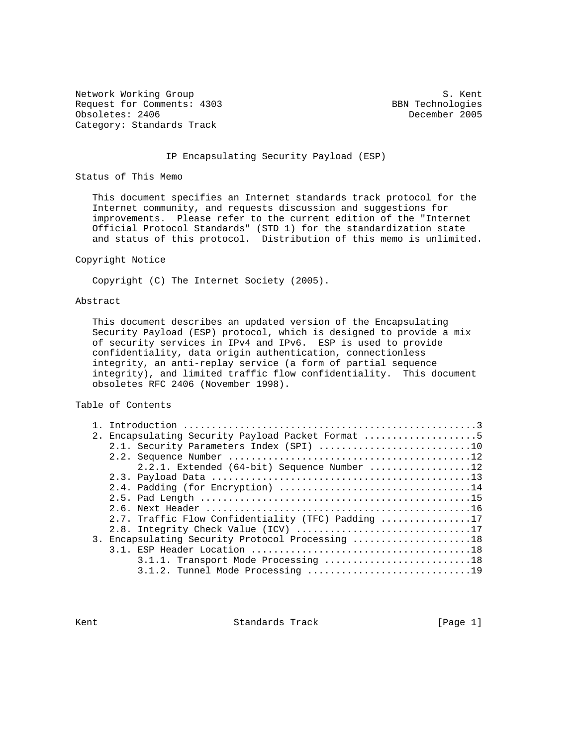Network Working Group S. Kent Request for Comments: 4303 BBN Technologies<br>
Obsoletes: 2406 BBN Technologies Obsoletes: 2406 Category: Standards Track

#### IP Encapsulating Security Payload (ESP)

Status of This Memo

 This document specifies an Internet standards track protocol for the Internet community, and requests discussion and suggestions for improvements. Please refer to the current edition of the "Internet Official Protocol Standards" (STD 1) for the standardization state and status of this protocol. Distribution of this memo is unlimited.

#### Copyright Notice

Copyright (C) The Internet Society (2005).

#### Abstract

 This document describes an updated version of the Encapsulating Security Payload (ESP) protocol, which is designed to provide a mix of security services in IPv4 and IPv6. ESP is used to provide confidentiality, data origin authentication, connectionless integrity, an anti-replay service (a form of partial sequence integrity), and limited traffic flow confidentiality. This document obsoletes RFC 2406 (November 1998).

Table of Contents

|  | 2. Encapsulating Security Payload Packet Format 5  |
|--|----------------------------------------------------|
|  | 2.1. Security Parameters Index (SPI) 10            |
|  |                                                    |
|  | 2.2.1. Extended (64-bit) Sequence Number 12        |
|  |                                                    |
|  |                                                    |
|  |                                                    |
|  |                                                    |
|  | 2.7. Traffic Flow Confidentiality (TFC) Padding 17 |
|  | 2.8. Integrity Check Value (ICV) 17                |
|  | 3. Encapsulating Security Protocol Processing 18   |
|  |                                                    |
|  | 3.1.1. Transport Mode Processing 18                |
|  | 3.1.2. Tunnel Mode Processing 19                   |

Kent **Standards Track** [Page 1]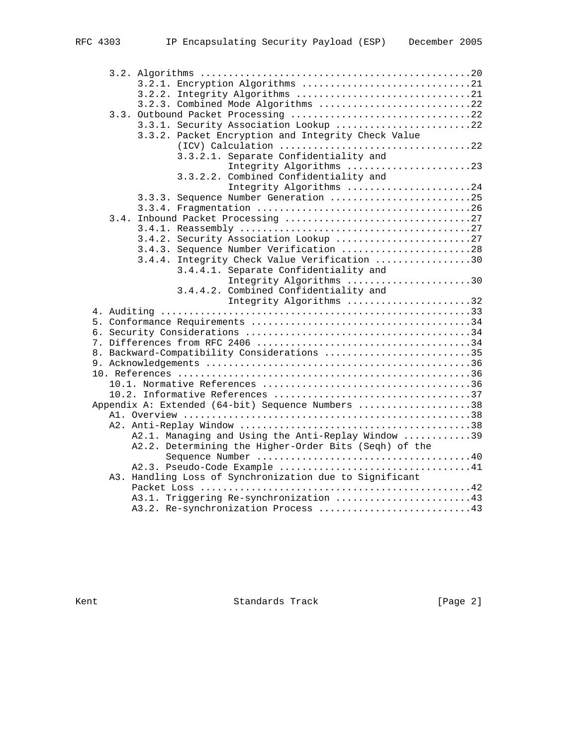| RFC 4303 |  |
|----------|--|

| 3.2.1. Encryption Algorithms 21                         |
|---------------------------------------------------------|
| 3.2.2. Integrity Algorithms 21                          |
| 3.2.3. Combined Mode Algorithms 22                      |
|                                                         |
| 3.3.1. Security Association Lookup 22                   |
| 3.3.2. Packet Encryption and Integrity Check Value      |
|                                                         |
| 3.3.2.1. Separate Confidentiality and                   |
| Integrity Algorithms 23                                 |
| 3.3.2.2. Combined Confidentiality and                   |
| Integrity Algorithms 24                                 |
| 3.3.3. Sequence Number Generation 25                    |
|                                                         |
| 3.4.                                                    |
|                                                         |
| 3.4.2. Security Association Lookup 27                   |
| 3.4.3. Sequence Number Verification 28                  |
| 3.4.4. Integrity Check Value Verification 30            |
| 3.4.4.1. Separate Confidentiality and                   |
| Integrity Algorithms 30                                 |
| 3.4.4.2. Combined Confidentiality and                   |
| Integrity Algorithms 32                                 |
|                                                         |
|                                                         |
|                                                         |
|                                                         |
| 8. Backward-Compatibility Considerations 35             |
|                                                         |
|                                                         |
|                                                         |
|                                                         |
| Appendix A: Extended (64-bit) Sequence Numbers 38       |
|                                                         |
| A2.1. Managing and Using the Anti-Replay Window 39      |
| A2.2. Determining the Higher-Order Bits (Seqh) of the   |
|                                                         |
|                                                         |
| A3. Handling Loss of Synchronization due to Significant |
|                                                         |
| A3.1. Triggering Re-synchronization 43                  |
| A3.2. Re-synchronization Process 43                     |
|                                                         |

Kent **Standards Track** [Page 2]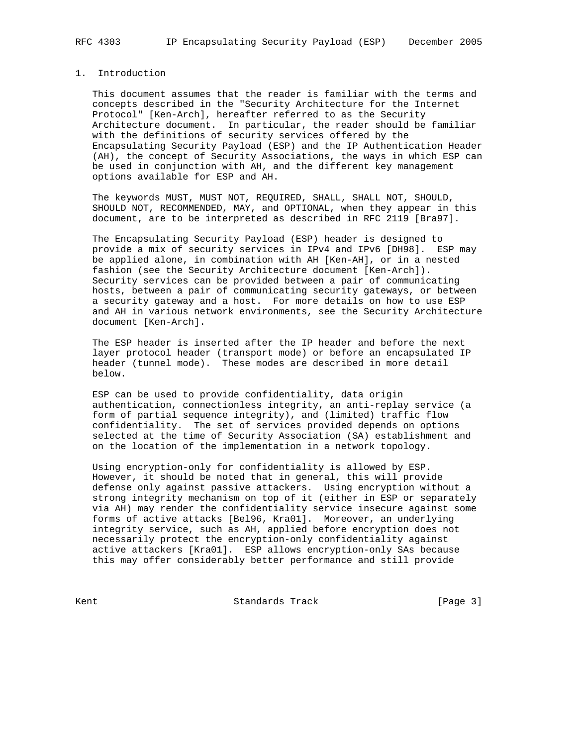## 1. Introduction

 This document assumes that the reader is familiar with the terms and concepts described in the "Security Architecture for the Internet Protocol" [Ken-Arch], hereafter referred to as the Security Architecture document. In particular, the reader should be familiar with the definitions of security services offered by the Encapsulating Security Payload (ESP) and the IP Authentication Header (AH), the concept of Security Associations, the ways in which ESP can be used in conjunction with AH, and the different key management options available for ESP and AH.

 The keywords MUST, MUST NOT, REQUIRED, SHALL, SHALL NOT, SHOULD, SHOULD NOT, RECOMMENDED, MAY, and OPTIONAL, when they appear in this document, are to be interpreted as described in RFC 2119 [Bra97].

 The Encapsulating Security Payload (ESP) header is designed to provide a mix of security services in IPv4 and IPv6 [DH98]. ESP may be applied alone, in combination with AH [Ken-AH], or in a nested fashion (see the Security Architecture document [Ken-Arch]). Security services can be provided between a pair of communicating hosts, between a pair of communicating security gateways, or between a security gateway and a host. For more details on how to use ESP and AH in various network environments, see the Security Architecture document [Ken-Arch].

 The ESP header is inserted after the IP header and before the next layer protocol header (transport mode) or before an encapsulated IP header (tunnel mode). These modes are described in more detail below.

 ESP can be used to provide confidentiality, data origin authentication, connectionless integrity, an anti-replay service (a form of partial sequence integrity), and (limited) traffic flow confidentiality. The set of services provided depends on options selected at the time of Security Association (SA) establishment and on the location of the implementation in a network topology.

 Using encryption-only for confidentiality is allowed by ESP. However, it should be noted that in general, this will provide defense only against passive attackers. Using encryption without a strong integrity mechanism on top of it (either in ESP or separately via AH) may render the confidentiality service insecure against some forms of active attacks [Bel96, Kra01]. Moreover, an underlying integrity service, such as AH, applied before encryption does not necessarily protect the encryption-only confidentiality against active attackers [Kra01]. ESP allows encryption-only SAs because this may offer considerably better performance and still provide

Kent **Standards Track** [Page 3]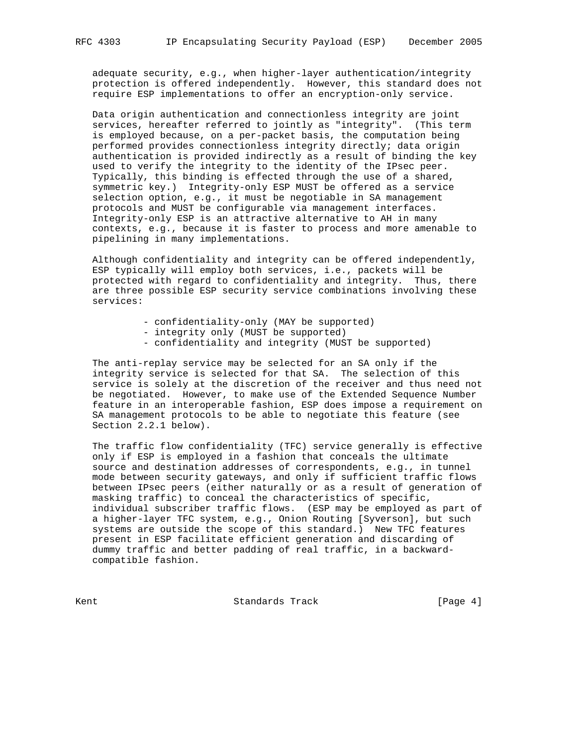adequate security, e.g., when higher-layer authentication/integrity protection is offered independently. However, this standard does not require ESP implementations to offer an encryption-only service.

 Data origin authentication and connectionless integrity are joint services, hereafter referred to jointly as "integrity". (This term is employed because, on a per-packet basis, the computation being performed provides connectionless integrity directly; data origin authentication is provided indirectly as a result of binding the key used to verify the integrity to the identity of the IPsec peer. Typically, this binding is effected through the use of a shared, symmetric key.) Integrity-only ESP MUST be offered as a service selection option, e.g., it must be negotiable in SA management protocols and MUST be configurable via management interfaces. Integrity-only ESP is an attractive alternative to AH in many contexts, e.g., because it is faster to process and more amenable to pipelining in many implementations.

 Although confidentiality and integrity can be offered independently, ESP typically will employ both services, i.e., packets will be protected with regard to confidentiality and integrity. Thus, there are three possible ESP security service combinations involving these services:

- confidentiality-only (MAY be supported)
- integrity only (MUST be supported)
- confidentiality and integrity (MUST be supported)

 The anti-replay service may be selected for an SA only if the integrity service is selected for that SA. The selection of this service is solely at the discretion of the receiver and thus need not be negotiated. However, to make use of the Extended Sequence Number feature in an interoperable fashion, ESP does impose a requirement on SA management protocols to be able to negotiate this feature (see Section 2.2.1 below).

 The traffic flow confidentiality (TFC) service generally is effective only if ESP is employed in a fashion that conceals the ultimate source and destination addresses of correspondents, e.g., in tunnel mode between security gateways, and only if sufficient traffic flows between IPsec peers (either naturally or as a result of generation of masking traffic) to conceal the characteristics of specific, individual subscriber traffic flows. (ESP may be employed as part of a higher-layer TFC system, e.g., Onion Routing [Syverson], but such systems are outside the scope of this standard.) New TFC features present in ESP facilitate efficient generation and discarding of dummy traffic and better padding of real traffic, in a backward compatible fashion.

Kent George Communication (Standards Track Track Track [Page 4]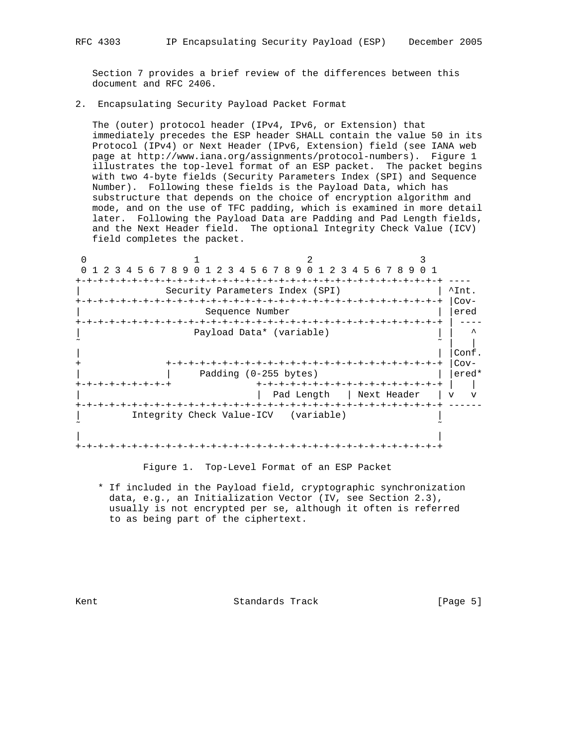Section 7 provides a brief review of the differences between this document and RFC 2406.

2. Encapsulating Security Payload Packet Format

 The (outer) protocol header (IPv4, IPv6, or Extension) that immediately precedes the ESP header SHALL contain the value 50 in its Protocol (IPv4) or Next Header (IPv6, Extension) field (see IANA web page at http://www.iana.org/assignments/protocol-numbers). Figure 1 illustrates the top-level format of an ESP packet. The packet begins with two 4-byte fields (Security Parameters Index (SPI) and Sequence Number). Following these fields is the Payload Data, which has substructure that depends on the choice of encryption algorithm and mode, and on the use of TFC padding, which is examined in more detail later. Following the Payload Data are Padding and Pad Length fields, and the Next Header field. The optional Integrity Check Value (ICV) field completes the packet.

| 1 2 3 4 5 6 7 8 9 0 1 2 3 4 5 6 7 8 9 0 1 2 3 4 5 6 7 8 9 0 1 |        |
|---------------------------------------------------------------|--------|
| -+-+-+-+-+-+-+-+-+-+                                          |        |
| Security Parameters Index (SPI)                               | ^Int.  |
|                                                               | $Cov-$ |
| Sequence Number                                               | ered   |
|                                                               |        |
| Payload Data* (variable)                                      |        |
|                                                               |        |
|                                                               | Conf.  |
| -+-+-+-+-+-+-+-+-+-+-+-+-+-+-+-+-+-                           | $Cov-$ |
| Padding (0-255 bytes)                                         | ered*  |
| +-+-+-+-+-+-+-+-+-+-+-+-+-+-+-+-+<br>+-+-+-+-+-+-+            |        |
| Pad Length<br>Next Header                                     | $\tau$ |
|                                                               |        |
| Integrity Check Value-ICV (variable)                          |        |
|                                                               |        |
|                                                               |        |
| -+-+-+-+-+-+-+-+-+-+-+-+                                      |        |

Figure 1. Top-Level Format of an ESP Packet

 \* If included in the Payload field, cryptographic synchronization data, e.g., an Initialization Vector (IV, see Section 2.3), usually is not encrypted per se, although it often is referred to as being part of the ciphertext.

Kent **Standards Track** [Page 5]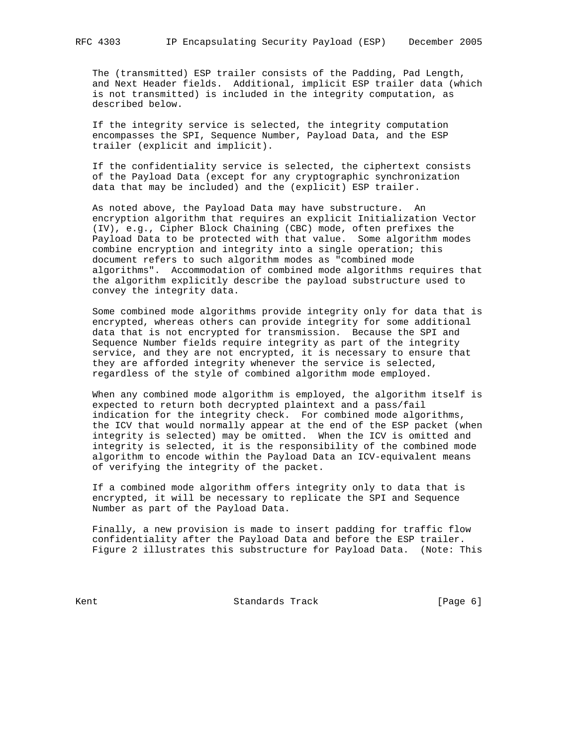The (transmitted) ESP trailer consists of the Padding, Pad Length, and Next Header fields. Additional, implicit ESP trailer data (which is not transmitted) is included in the integrity computation, as described below.

 If the integrity service is selected, the integrity computation encompasses the SPI, Sequence Number, Payload Data, and the ESP trailer (explicit and implicit).

 If the confidentiality service is selected, the ciphertext consists of the Payload Data (except for any cryptographic synchronization data that may be included) and the (explicit) ESP trailer.

 As noted above, the Payload Data may have substructure. An encryption algorithm that requires an explicit Initialization Vector (IV), e.g., Cipher Block Chaining (CBC) mode, often prefixes the Payload Data to be protected with that value. Some algorithm modes combine encryption and integrity into a single operation; this document refers to such algorithm modes as "combined mode algorithms". Accommodation of combined mode algorithms requires that the algorithm explicitly describe the payload substructure used to convey the integrity data.

 Some combined mode algorithms provide integrity only for data that is encrypted, whereas others can provide integrity for some additional data that is not encrypted for transmission. Because the SPI and Sequence Number fields require integrity as part of the integrity service, and they are not encrypted, it is necessary to ensure that they are afforded integrity whenever the service is selected, regardless of the style of combined algorithm mode employed.

 When any combined mode algorithm is employed, the algorithm itself is expected to return both decrypted plaintext and a pass/fail indication for the integrity check. For combined mode algorithms, the ICV that would normally appear at the end of the ESP packet (when integrity is selected) may be omitted. When the ICV is omitted and integrity is selected, it is the responsibility of the combined mode algorithm to encode within the Payload Data an ICV-equivalent means of verifying the integrity of the packet.

 If a combined mode algorithm offers integrity only to data that is encrypted, it will be necessary to replicate the SPI and Sequence Number as part of the Payload Data.

 Finally, a new provision is made to insert padding for traffic flow confidentiality after the Payload Data and before the ESP trailer. Figure 2 illustrates this substructure for Payload Data. (Note: This

Kent **Example 2018** Standards Track **Example 2018** [Page 6]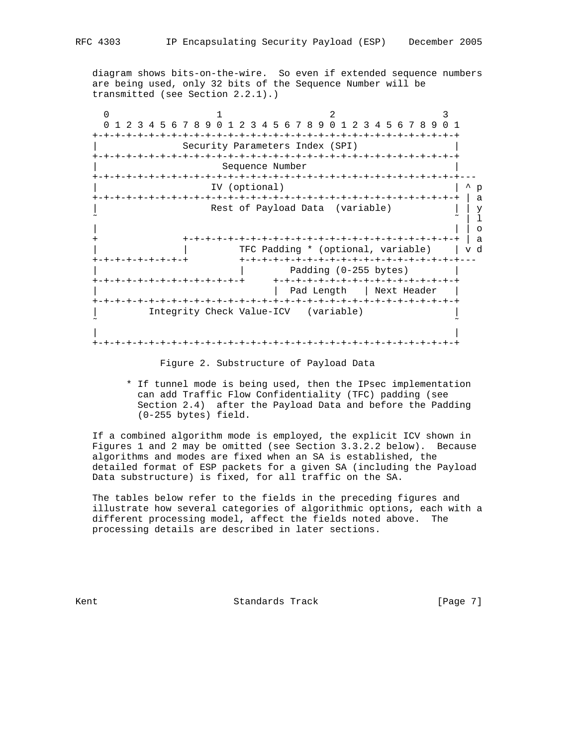diagram shows bits-on-the-wire. So even if extended sequence numbers are being used, only 32 bits of the Sequence Number will be transmitted (see Section 2.2.1).)

| $1 \t2$ | 4 5 6 7 8 9 0 1 2 3 4 5 6 7 8 9 0 1 2 3 4 5 6 7 8 9 0 1<br>- 3   |              |
|---------|------------------------------------------------------------------|--------------|
|         |                                                                  |              |
|         | Security Parameters Index (SPI)                                  |              |
|         | $-+ - + - + - + - + - + -$                                       |              |
|         | Sequence Number                                                  |              |
|         |                                                                  |              |
|         | IV (optional)                                                    | p            |
|         |                                                                  | a            |
|         | Rest of Payload Data (variable)                                  |              |
|         |                                                                  |              |
|         |                                                                  |              |
|         | -+-+-+-+-+-+-+-+-+-+-+-+-+-+-+-                                  | $\mathbf{a}$ |
|         | TFC Padding * (optional, variable)                               | v d          |
|         | +-+-+-+-+-+-+-+-+                                                |              |
|         | Padding (0-255 bytes)                                            |              |
|         | +-+-+-+-+-+-+-+-+-+-+-+-+-+-+-+-+-+<br>-+-+-+-+-+-+-+-+-+-+-+-+- |              |
|         | Pad Length<br>  Next Header                                      |              |
|         | +-+-+-+-+-+-+-+-+-+-+-+-+-+                                      |              |
|         | Integrity Check Value-ICV (variable)                             |              |
|         |                                                                  |              |
|         |                                                                  |              |
|         |                                                                  |              |

Figure 2. Substructure of Payload Data

 \* If tunnel mode is being used, then the IPsec implementation can add Traffic Flow Confidentiality (TFC) padding (see Section 2.4) after the Payload Data and before the Padding (0-255 bytes) field.

 If a combined algorithm mode is employed, the explicit ICV shown in Figures 1 and 2 may be omitted (see Section 3.3.2.2 below). Because algorithms and modes are fixed when an SA is established, the detailed format of ESP packets for a given SA (including the Payload Data substructure) is fixed, for all traffic on the SA.

 The tables below refer to the fields in the preceding figures and illustrate how several categories of algorithmic options, each with a different processing model, affect the fields noted above. The processing details are described in later sections.

Kent **Standards Track** [Page 7]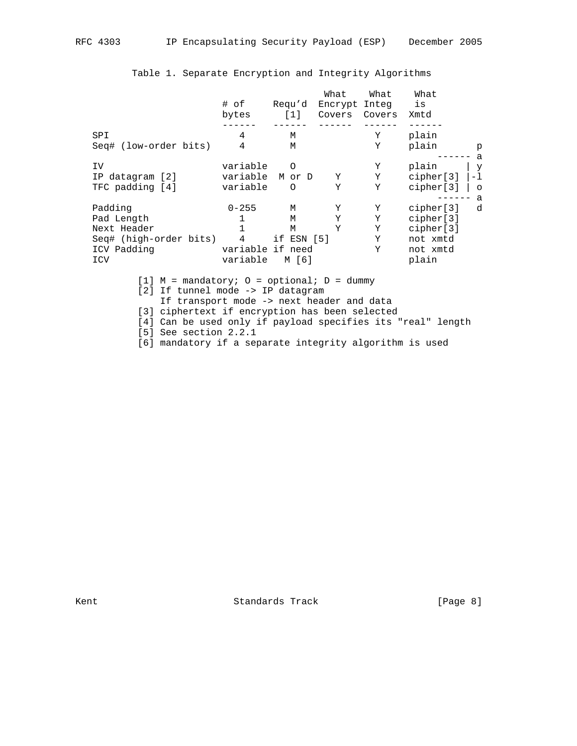|                        | # of             | Regu'd     | What<br>Encrypt Integ | What   | What<br>is |         |
|------------------------|------------------|------------|-----------------------|--------|------------|---------|
|                        |                  |            |                       |        |            |         |
|                        | bytes            | [1]        | Covers                | Covers | Xmtd       |         |
|                        |                  |            |                       |        |            |         |
| SPI                    | 4                | M          |                       | Υ      | plain      |         |
| Seq# (low-order bits)  | 4                | M          |                       | Υ      | plain      | p       |
|                        |                  |            |                       |        |            | a       |
| IV                     | variable         | $\Omega$   |                       | Υ      | plain      | У       |
| IP datagram [2]        | variable M or D  |            | Y                     | Υ      | cipher[3]  | -1      |
| TFC padding [4]        | variable         | $\Omega$   | Υ                     | Y      | cipher[3]  | $\circ$ |
|                        |                  |            |                       |        |            | a       |
| Padding                | $0 - 255$        | M          | Υ                     | Υ      | cipher[3]  | d       |
| Pad Length             | 1                | M          | Υ                     | Y      | cipher[3]  |         |
| Next Header            |                  | M          | Υ                     | Υ      | cipher[3]  |         |
| Seq# (high-order bits) | 4                | if ESN [5] |                       | Y      | not xmtd   |         |
| ICV Padding            | variable if need |            |                       | Y      | not xmtd   |         |
| ICV                    | variable         | M [6]      |                       |        | plain      |         |

# Table 1. Separate Encryption and Integrity Algorithms

[1]  $M =$  mandatory;  $0 =$  optional;  $D =$  dummy [2] If tunnel mode -> IP datagram If transport mode -> next header and data [3] ciphertext if encryption has been selected [4] Can be used only if payload specifies its "real" length [5] See section 2.2.1

[6] mandatory if a separate integrity algorithm is used

Kent **Standards Track** [Page 8]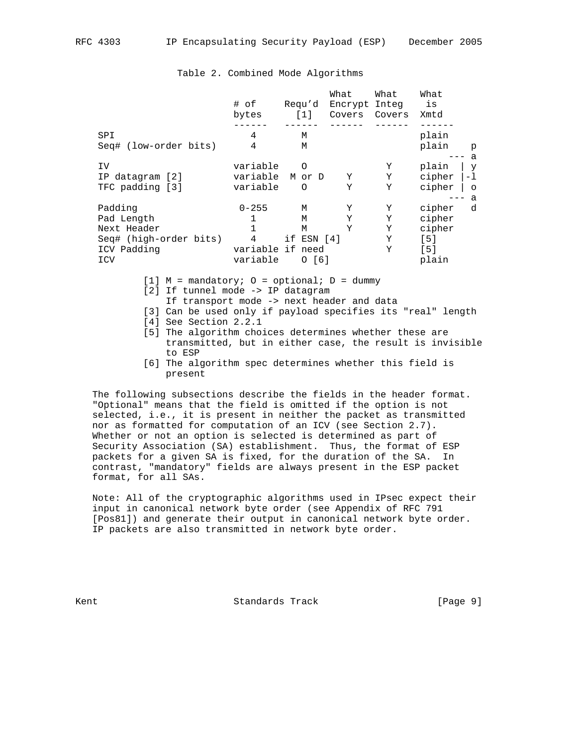|                        |                  |              | What          | What   | What   |         |
|------------------------|------------------|--------------|---------------|--------|--------|---------|
|                        | # of             | Regu'd       | Encrypt Integ |        | is     |         |
|                        | bytes            | [1]          | Covers        | Covers | Xmtd   |         |
|                        |                  |              |               |        |        |         |
| SPI                    | 4                | M            |               |        | plain  |         |
| Seq# (low-order bits)  | 4                | M            |               |        | plain  | p       |
|                        |                  |              |               |        |        | a       |
| ΙV                     | variable         | O            |               | Υ      | plain  | y       |
| IP datagram [2]        | variable         | M or D       | Υ             | Υ      | cipher | $-1$    |
| TFC padding [3]        | variable         | O            | Υ             | Y      | cipher | $\circ$ |
|                        |                  |              |               |        |        | a       |
| Padding                | $0 - 255$        | M            | Υ             | Υ      | cipher | d       |
| Pad Length             | 1                | M            | Y             | Y      | cipher |         |
| Next Header            |                  | M            | Υ             | Υ      | cipher |         |
| Seq# (high-order bits) | 4                | if $ESN [4]$ |               | Υ      | [5]    |         |
| ICV Padding            | variable if need |              |               | Y      | [5]    |         |
| ICV                    | variable         | O[6]         |               |        | plain  |         |

### Table 2. Combined Mode Algorithms

- [1]  $M =$  mandatory;  $0 =$  optional;  $D =$  dummy
- [2] If tunnel mode -> IP datagram
	- If transport mode -> next header and data
- [3] Can be used only if payload specifies its "real" length
- [4] See Section 2.2.1
- [5] The algorithm choices determines whether these are transmitted, but in either case, the result is invisible to ESP
- [6] The algorithm spec determines whether this field is present

 The following subsections describe the fields in the header format. "Optional" means that the field is omitted if the option is not selected, i.e., it is present in neither the packet as transmitted nor as formatted for computation of an ICV (see Section 2.7). Whether or not an option is selected is determined as part of Security Association (SA) establishment. Thus, the format of ESP packets for a given SA is fixed, for the duration of the SA. In contrast, "mandatory" fields are always present in the ESP packet format, for all SAs.

 Note: All of the cryptographic algorithms used in IPsec expect their input in canonical network byte order (see Appendix of RFC 791 [Pos81]) and generate their output in canonical network byte order. IP packets are also transmitted in network byte order.

Kent **Standards Track** [Page 9]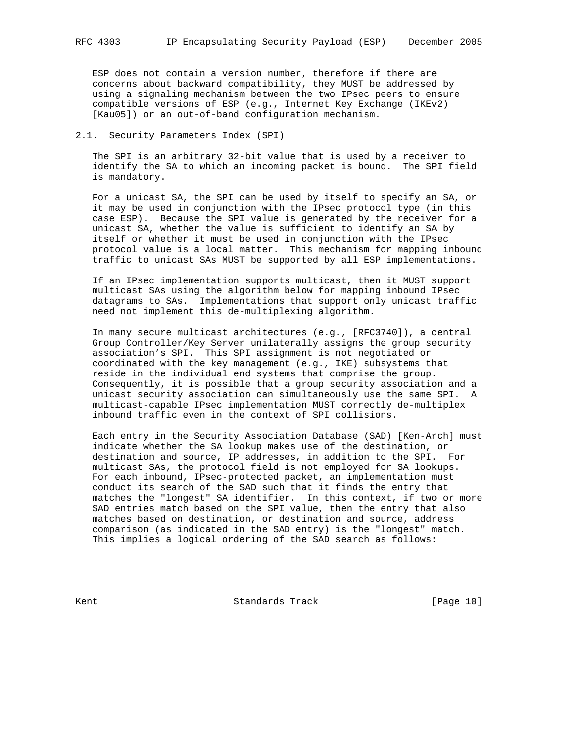ESP does not contain a version number, therefore if there are concerns about backward compatibility, they MUST be addressed by using a signaling mechanism between the two IPsec peers to ensure compatible versions of ESP (e.g., Internet Key Exchange (IKEv2) [Kau05]) or an out-of-band configuration mechanism.

### 2.1. Security Parameters Index (SPI)

 The SPI is an arbitrary 32-bit value that is used by a receiver to identify the SA to which an incoming packet is bound. The SPI field is mandatory.

 For a unicast SA, the SPI can be used by itself to specify an SA, or it may be used in conjunction with the IPsec protocol type (in this case ESP). Because the SPI value is generated by the receiver for a unicast SA, whether the value is sufficient to identify an SA by itself or whether it must be used in conjunction with the IPsec protocol value is a local matter. This mechanism for mapping inbound traffic to unicast SAs MUST be supported by all ESP implementations.

 If an IPsec implementation supports multicast, then it MUST support multicast SAs using the algorithm below for mapping inbound IPsec datagrams to SAs. Implementations that support only unicast traffic need not implement this de-multiplexing algorithm.

 In many secure multicast architectures (e.g., [RFC3740]), a central Group Controller/Key Server unilaterally assigns the group security association's SPI. This SPI assignment is not negotiated or coordinated with the key management (e.g., IKE) subsystems that reside in the individual end systems that comprise the group. Consequently, it is possible that a group security association and a unicast security association can simultaneously use the same SPI. A multicast-capable IPsec implementation MUST correctly de-multiplex inbound traffic even in the context of SPI collisions.

 Each entry in the Security Association Database (SAD) [Ken-Arch] must indicate whether the SA lookup makes use of the destination, or destination and source, IP addresses, in addition to the SPI. For multicast SAs, the protocol field is not employed for SA lookups. For each inbound, IPsec-protected packet, an implementation must conduct its search of the SAD such that it finds the entry that matches the "longest" SA identifier. In this context, if two or more SAD entries match based on the SPI value, then the entry that also matches based on destination, or destination and source, address comparison (as indicated in the SAD entry) is the "longest" match. This implies a logical ordering of the SAD search as follows:

Kent **Standards Track** [Page 10]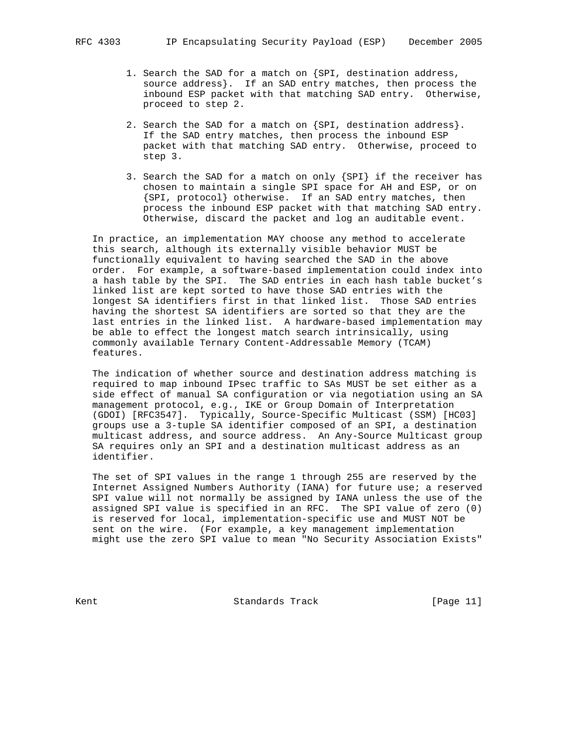- 1. Search the SAD for a match on {SPI, destination address, source address}. If an SAD entry matches, then process the inbound ESP packet with that matching SAD entry. Otherwise, proceed to step 2.
- 2. Search the SAD for a match on {SPI, destination address}. If the SAD entry matches, then process the inbound ESP packet with that matching SAD entry. Otherwise, proceed to step 3.
- 3. Search the SAD for a match on only {SPI} if the receiver has chosen to maintain a single SPI space for AH and ESP, or on {SPI, protocol} otherwise. If an SAD entry matches, then process the inbound ESP packet with that matching SAD entry. Otherwise, discard the packet and log an auditable event.

 In practice, an implementation MAY choose any method to accelerate this search, although its externally visible behavior MUST be functionally equivalent to having searched the SAD in the above order. For example, a software-based implementation could index into a hash table by the SPI. The SAD entries in each hash table bucket's linked list are kept sorted to have those SAD entries with the longest SA identifiers first in that linked list. Those SAD entries having the shortest SA identifiers are sorted so that they are the last entries in the linked list. A hardware-based implementation may be able to effect the longest match search intrinsically, using commonly available Ternary Content-Addressable Memory (TCAM) features.

 The indication of whether source and destination address matching is required to map inbound IPsec traffic to SAs MUST be set either as a side effect of manual SA configuration or via negotiation using an SA management protocol, e.g., IKE or Group Domain of Interpretation (GDOI) [RFC3547]. Typically, Source-Specific Multicast (SSM) [HC03] groups use a 3-tuple SA identifier composed of an SPI, a destination multicast address, and source address. An Any-Source Multicast group SA requires only an SPI and a destination multicast address as an identifier.

 The set of SPI values in the range 1 through 255 are reserved by the Internet Assigned Numbers Authority (IANA) for future use; a reserved SPI value will not normally be assigned by IANA unless the use of the assigned SPI value is specified in an RFC. The SPI value of zero (0) is reserved for local, implementation-specific use and MUST NOT be sent on the wire. (For example, a key management implementation might use the zero SPI value to mean "No Security Association Exists"

Kent **Example 2018** Standards Track **Example 2018** [Page 11]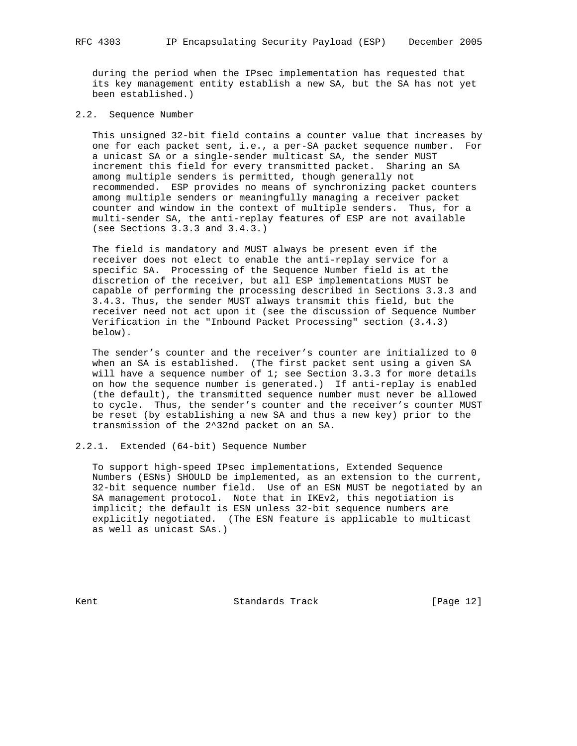during the period when the IPsec implementation has requested that its key management entity establish a new SA, but the SA has not yet been established.)

### 2.2. Sequence Number

 This unsigned 32-bit field contains a counter value that increases by one for each packet sent, i.e., a per-SA packet sequence number. For a unicast SA or a single-sender multicast SA, the sender MUST increment this field for every transmitted packet. Sharing an SA among multiple senders is permitted, though generally not recommended. ESP provides no means of synchronizing packet counters among multiple senders or meaningfully managing a receiver packet counter and window in the context of multiple senders. Thus, for a multi-sender SA, the anti-replay features of ESP are not available (see Sections 3.3.3 and 3.4.3.)

 The field is mandatory and MUST always be present even if the receiver does not elect to enable the anti-replay service for a specific SA. Processing of the Sequence Number field is at the discretion of the receiver, but all ESP implementations MUST be capable of performing the processing described in Sections 3.3.3 and 3.4.3. Thus, the sender MUST always transmit this field, but the receiver need not act upon it (see the discussion of Sequence Number Verification in the "Inbound Packet Processing" section (3.4.3) below).

 The sender's counter and the receiver's counter are initialized to 0 when an SA is established. (The first packet sent using a given SA will have a sequence number of 1; see Section 3.3.3 for more details on how the sequence number is generated.) If anti-replay is enabled (the default), the transmitted sequence number must never be allowed to cycle. Thus, the sender's counter and the receiver's counter MUST be reset (by establishing a new SA and thus a new key) prior to the transmission of the 2^32nd packet on an SA.

2.2.1. Extended (64-bit) Sequence Number

 To support high-speed IPsec implementations, Extended Sequence Numbers (ESNs) SHOULD be implemented, as an extension to the current, 32-bit sequence number field. Use of an ESN MUST be negotiated by an SA management protocol. Note that in IKEv2, this negotiation is implicit; the default is ESN unless 32-bit sequence numbers are explicitly negotiated. (The ESN feature is applicable to multicast as well as unicast SAs.)

Kent **Standards Track** [Page 12]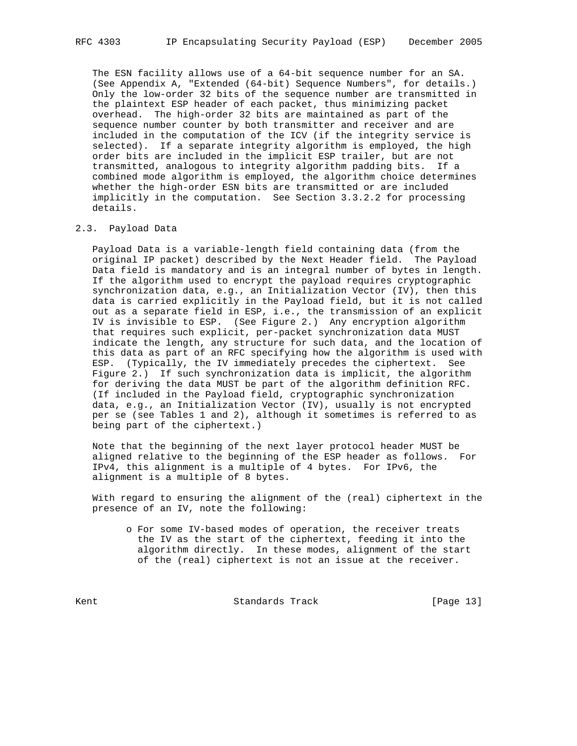The ESN facility allows use of a 64-bit sequence number for an SA. (See Appendix A, "Extended (64-bit) Sequence Numbers", for details.) Only the low-order 32 bits of the sequence number are transmitted in the plaintext ESP header of each packet, thus minimizing packet overhead. The high-order 32 bits are maintained as part of the sequence number counter by both transmitter and receiver and are included in the computation of the ICV (if the integrity service is selected). If a separate integrity algorithm is employed, the high order bits are included in the implicit ESP trailer, but are not transmitted, analogous to integrity algorithm padding bits. If a combined mode algorithm is employed, the algorithm choice determines whether the high-order ESN bits are transmitted or are included implicitly in the computation. See Section 3.3.2.2 for processing details.

#### 2.3. Payload Data

 Payload Data is a variable-length field containing data (from the original IP packet) described by the Next Header field. The Payload Data field is mandatory and is an integral number of bytes in length. If the algorithm used to encrypt the payload requires cryptographic synchronization data, e.g., an Initialization Vector (IV), then this data is carried explicitly in the Payload field, but it is not called out as a separate field in ESP, i.e., the transmission of an explicit IV is invisible to ESP. (See Figure 2.) Any encryption algorithm that requires such explicit, per-packet synchronization data MUST indicate the length, any structure for such data, and the location of this data as part of an RFC specifying how the algorithm is used with ESP. (Typically, the IV immediately precedes the ciphertext. See Figure 2.) If such synchronization data is implicit, the algorithm for deriving the data MUST be part of the algorithm definition RFC. (If included in the Payload field, cryptographic synchronization data, e.g., an Initialization Vector (IV), usually is not encrypted per se (see Tables 1 and 2), although it sometimes is referred to as being part of the ciphertext.)

 Note that the beginning of the next layer protocol header MUST be aligned relative to the beginning of the ESP header as follows. For IPv4, this alignment is a multiple of 4 bytes. For IPv6, the alignment is a multiple of 8 bytes.

 With regard to ensuring the alignment of the (real) ciphertext in the presence of an IV, note the following:

 o For some IV-based modes of operation, the receiver treats the IV as the start of the ciphertext, feeding it into the algorithm directly. In these modes, alignment of the start of the (real) ciphertext is not an issue at the receiver.

Kent **Standards Track** [Page 13]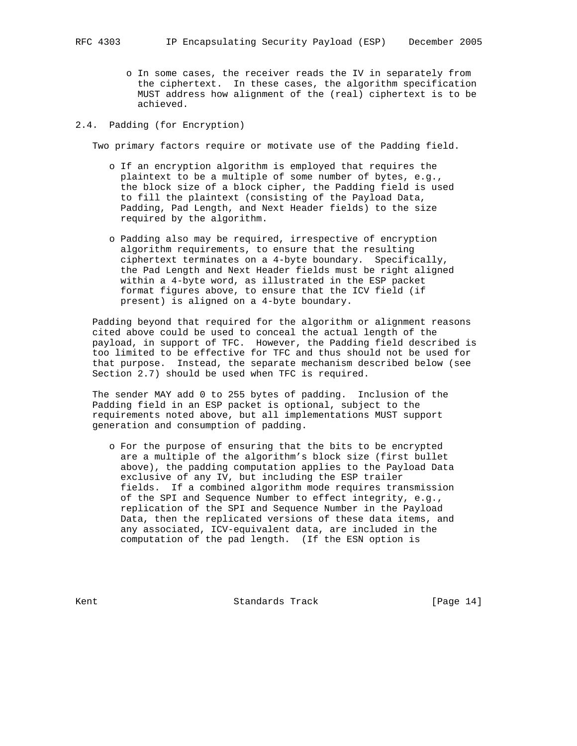o In some cases, the receiver reads the IV in separately from the ciphertext. In these cases, the algorithm specification MUST address how alignment of the (real) ciphertext is to be achieved.

### 2.4. Padding (for Encryption)

Two primary factors require or motivate use of the Padding field.

- o If an encryption algorithm is employed that requires the plaintext to be a multiple of some number of bytes, e.g., the block size of a block cipher, the Padding field is used to fill the plaintext (consisting of the Payload Data, Padding, Pad Length, and Next Header fields) to the size required by the algorithm.
- o Padding also may be required, irrespective of encryption algorithm requirements, to ensure that the resulting ciphertext terminates on a 4-byte boundary. Specifically, the Pad Length and Next Header fields must be right aligned within a 4-byte word, as illustrated in the ESP packet format figures above, to ensure that the ICV field (if present) is aligned on a 4-byte boundary.

 Padding beyond that required for the algorithm or alignment reasons cited above could be used to conceal the actual length of the payload, in support of TFC. However, the Padding field described is too limited to be effective for TFC and thus should not be used for that purpose. Instead, the separate mechanism described below (see Section 2.7) should be used when TFC is required.

 The sender MAY add 0 to 255 bytes of padding. Inclusion of the Padding field in an ESP packet is optional, subject to the requirements noted above, but all implementations MUST support generation and consumption of padding.

 o For the purpose of ensuring that the bits to be encrypted are a multiple of the algorithm's block size (first bullet above), the padding computation applies to the Payload Data exclusive of any IV, but including the ESP trailer fields. If a combined algorithm mode requires transmission of the SPI and Sequence Number to effect integrity, e.g., replication of the SPI and Sequence Number in the Payload Data, then the replicated versions of these data items, and any associated, ICV-equivalent data, are included in the computation of the pad length. (If the ESN option is

Kent **Standards Track** [Page 14]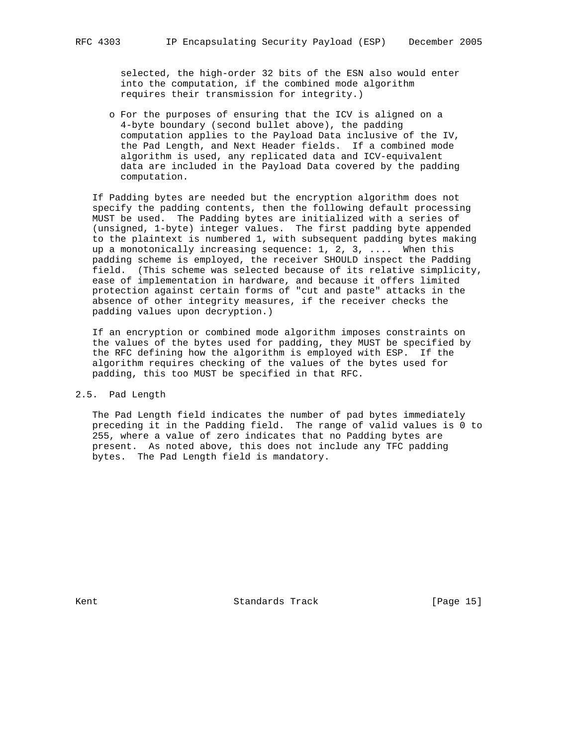selected, the high-order 32 bits of the ESN also would enter into the computation, if the combined mode algorithm requires their transmission for integrity.)

 o For the purposes of ensuring that the ICV is aligned on a 4-byte boundary (second bullet above), the padding computation applies to the Payload Data inclusive of the IV, the Pad Length, and Next Header fields. If a combined mode algorithm is used, any replicated data and ICV-equivalent data are included in the Payload Data covered by the padding computation.

 If Padding bytes are needed but the encryption algorithm does not specify the padding contents, then the following default processing MUST be used. The Padding bytes are initialized with a series of (unsigned, 1-byte) integer values. The first padding byte appended to the plaintext is numbered 1, with subsequent padding bytes making up a monotonically increasing sequence: 1, 2, 3, .... When this padding scheme is employed, the receiver SHOULD inspect the Padding field. (This scheme was selected because of its relative simplicity, ease of implementation in hardware, and because it offers limited protection against certain forms of "cut and paste" attacks in the absence of other integrity measures, if the receiver checks the padding values upon decryption.)

 If an encryption or combined mode algorithm imposes constraints on the values of the bytes used for padding, they MUST be specified by the RFC defining how the algorithm is employed with ESP. If the algorithm requires checking of the values of the bytes used for padding, this too MUST be specified in that RFC.

### 2.5. Pad Length

 The Pad Length field indicates the number of pad bytes immediately preceding it in the Padding field. The range of valid values is 0 to 255, where a value of zero indicates that no Padding bytes are present. As noted above, this does not include any TFC padding bytes. The Pad Length field is mandatory.

Kent **Example 2018** Standards Track **Example 2018** [Page 15]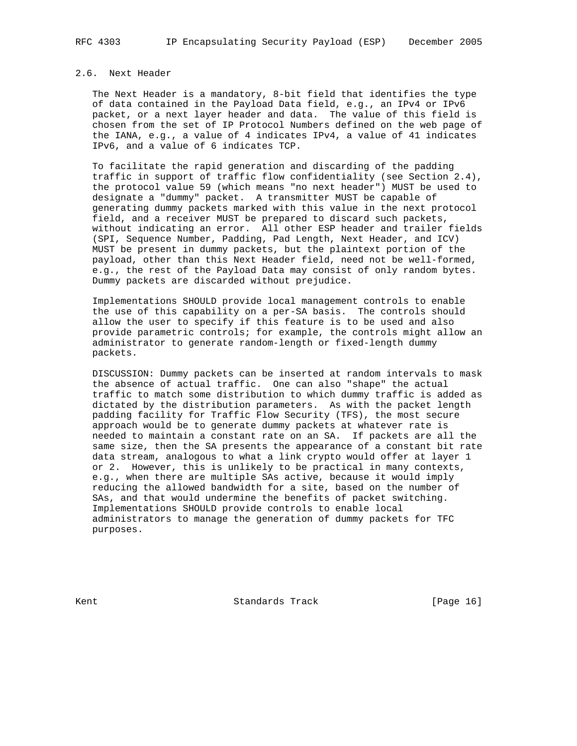### 2.6. Next Header

 The Next Header is a mandatory, 8-bit field that identifies the type of data contained in the Payload Data field, e.g., an IPv4 or IPv6 packet, or a next layer header and data. The value of this field is chosen from the set of IP Protocol Numbers defined on the web page of the IANA, e.g., a value of 4 indicates IPv4, a value of 41 indicates IPv6, and a value of 6 indicates TCP.

 To facilitate the rapid generation and discarding of the padding traffic in support of traffic flow confidentiality (see Section 2.4), the protocol value 59 (which means "no next header") MUST be used to designate a "dummy" packet. A transmitter MUST be capable of generating dummy packets marked with this value in the next protocol field, and a receiver MUST be prepared to discard such packets, without indicating an error. All other ESP header and trailer fields (SPI, Sequence Number, Padding, Pad Length, Next Header, and ICV) MUST be present in dummy packets, but the plaintext portion of the payload, other than this Next Header field, need not be well-formed, e.g., the rest of the Payload Data may consist of only random bytes. Dummy packets are discarded without prejudice.

 Implementations SHOULD provide local management controls to enable the use of this capability on a per-SA basis. The controls should allow the user to specify if this feature is to be used and also provide parametric controls; for example, the controls might allow an administrator to generate random-length or fixed-length dummy packets.

 DISCUSSION: Dummy packets can be inserted at random intervals to mask the absence of actual traffic. One can also "shape" the actual traffic to match some distribution to which dummy traffic is added as dictated by the distribution parameters. As with the packet length padding facility for Traffic Flow Security (TFS), the most secure approach would be to generate dummy packets at whatever rate is needed to maintain a constant rate on an SA. If packets are all the same size, then the SA presents the appearance of a constant bit rate data stream, analogous to what a link crypto would offer at layer 1 or 2. However, this is unlikely to be practical in many contexts, e.g., when there are multiple SAs active, because it would imply reducing the allowed bandwidth for a site, based on the number of SAs, and that would undermine the benefits of packet switching. Implementations SHOULD provide controls to enable local administrators to manage the generation of dummy packets for TFC purposes.

Kent **Standards Track** [Page 16]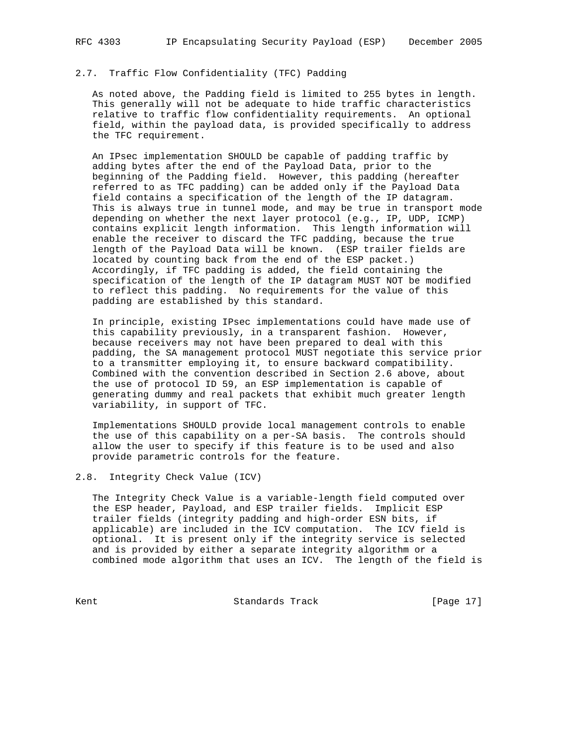## 2.7. Traffic Flow Confidentiality (TFC) Padding

 As noted above, the Padding field is limited to 255 bytes in length. This generally will not be adequate to hide traffic characteristics relative to traffic flow confidentiality requirements. An optional field, within the payload data, is provided specifically to address the TFC requirement.

 An IPsec implementation SHOULD be capable of padding traffic by adding bytes after the end of the Payload Data, prior to the beginning of the Padding field. However, this padding (hereafter referred to as TFC padding) can be added only if the Payload Data field contains a specification of the length of the IP datagram. This is always true in tunnel mode, and may be true in transport mode depending on whether the next layer protocol (e.g., IP, UDP, ICMP) contains explicit length information. This length information will enable the receiver to discard the TFC padding, because the true length of the Payload Data will be known. (ESP trailer fields are located by counting back from the end of the ESP packet.) Accordingly, if TFC padding is added, the field containing the specification of the length of the IP datagram MUST NOT be modified to reflect this padding. No requirements for the value of this padding are established by this standard.

 In principle, existing IPsec implementations could have made use of this capability previously, in a transparent fashion. However, because receivers may not have been prepared to deal with this padding, the SA management protocol MUST negotiate this service prior to a transmitter employing it, to ensure backward compatibility. Combined with the convention described in Section 2.6 above, about the use of protocol ID 59, an ESP implementation is capable of generating dummy and real packets that exhibit much greater length variability, in support of TFC.

 Implementations SHOULD provide local management controls to enable the use of this capability on a per-SA basis. The controls should allow the user to specify if this feature is to be used and also provide parametric controls for the feature.

#### 2.8. Integrity Check Value (ICV)

 The Integrity Check Value is a variable-length field computed over the ESP header, Payload, and ESP trailer fields. Implicit ESP trailer fields (integrity padding and high-order ESN bits, if applicable) are included in the ICV computation. The ICV field is optional. It is present only if the integrity service is selected and is provided by either a separate integrity algorithm or a combined mode algorithm that uses an ICV. The length of the field is

Kent **Standards Track** [Page 17]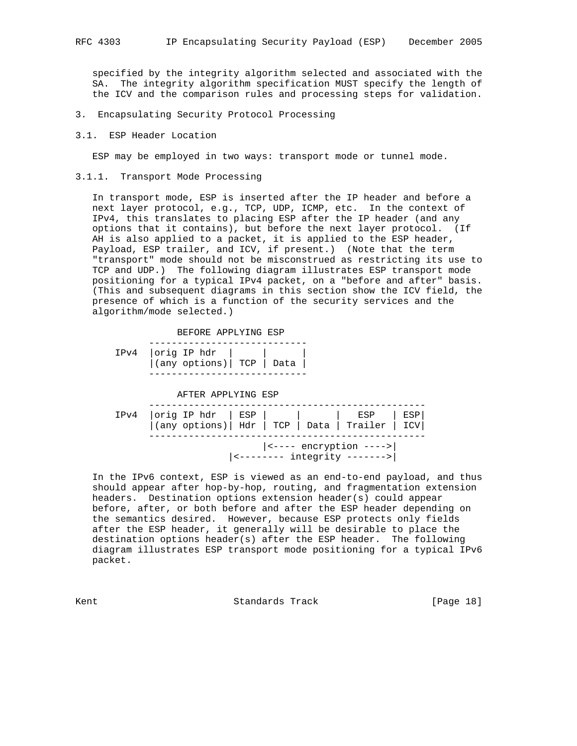specified by the integrity algorithm selected and associated with the SA. The integrity algorithm specification MUST specify the length of the ICV and the comparison rules and processing steps for validation.

- 3. Encapsulating Security Protocol Processing
- 3.1. ESP Header Location

ESP may be employed in two ways: transport mode or tunnel mode.

3.1.1. Transport Mode Processing

 In transport mode, ESP is inserted after the IP header and before a next layer protocol, e.g., TCP, UDP, ICMP, etc. In the context of IPv4, this translates to placing ESP after the IP header (and any options that it contains), but before the next layer protocol. (If AH is also applied to a packet, it is applied to the ESP header, Payload, ESP trailer, and ICV, if present.) (Note that the term "transport" mode should not be misconstrued as restricting its use to TCP and UDP.) The following diagram illustrates ESP transport mode positioning for a typical IPv4 packet, on a "before and after" basis. (This and subsequent diagrams in this section show the ICV field, the presence of which is a function of the security services and the algorithm/mode selected.)

BEFORE APPLYING ESP

|  | $IPv4$   $orig IP hat$                                                                                                                |  |  |
|--|---------------------------------------------------------------------------------------------------------------------------------------|--|--|
|  | $\left  \begin{array}{c} 0 \\ 0 \\ 0 \end{array} \right $ (any options) TCP $\left  \begin{array}{c} 0 \\ 0 \\ 0 \end{array} \right $ |  |  |
|  |                                                                                                                                       |  |  |

AFTER APPLYING ESP

| $IPv4$  orig IP hdr   ESP         ESP   ESP    <br>  (any options)   Hdr   TCP   Data   Trailer   ICV |  |                                                                                         |  |
|-------------------------------------------------------------------------------------------------------|--|-----------------------------------------------------------------------------------------|--|
|                                                                                                       |  | $ \left\langle \text{---} \right $ encryption ----><br>$ $ <-------- integrity -------> |  |

 In the IPv6 context, ESP is viewed as an end-to-end payload, and thus should appear after hop-by-hop, routing, and fragmentation extension headers. Destination options extension header(s) could appear before, after, or both before and after the ESP header depending on the semantics desired. However, because ESP protects only fields after the ESP header, it generally will be desirable to place the destination options header(s) after the ESP header. The following diagram illustrates ESP transport mode positioning for a typical IPv6 packet.

Kent Chamber Standards Track Chamber (Page 18)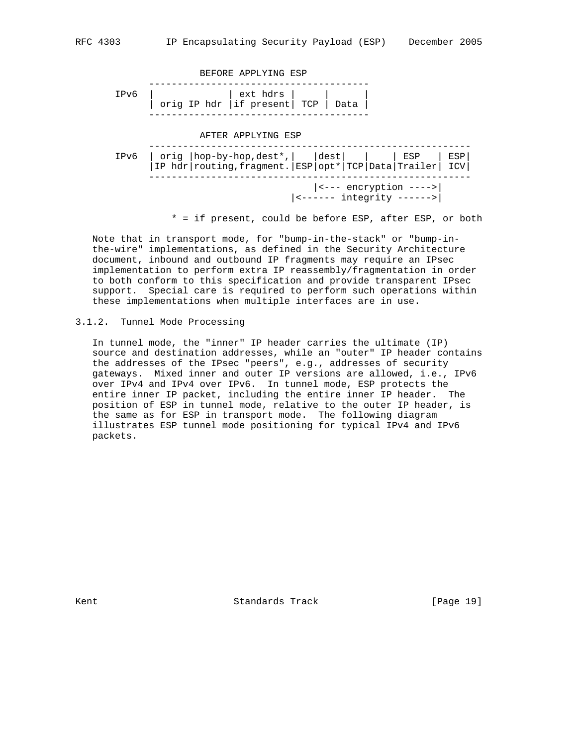

\* = if present, could be before ESP, after ESP, or both

 Note that in transport mode, for "bump-in-the-stack" or "bump-in the-wire" implementations, as defined in the Security Architecture document, inbound and outbound IP fragments may require an IPsec implementation to perform extra IP reassembly/fragmentation in order to both conform to this specification and provide transparent IPsec support. Special care is required to perform such operations within these implementations when multiple interfaces are in use.

#### 3.1.2. Tunnel Mode Processing

 In tunnel mode, the "inner" IP header carries the ultimate (IP) source and destination addresses, while an "outer" IP header contains the addresses of the IPsec "peers", e.g., addresses of security gateways. Mixed inner and outer IP versions are allowed, i.e., IPv6 over IPv4 and IPv4 over IPv6. In tunnel mode, ESP protects the entire inner IP packet, including the entire inner IP header. The position of ESP in tunnel mode, relative to the outer IP header, is the same as for ESP in transport mode. The following diagram illustrates ESP tunnel mode positioning for typical IPv4 and IPv6 packets.

Kent **Standards Track** [Page 19]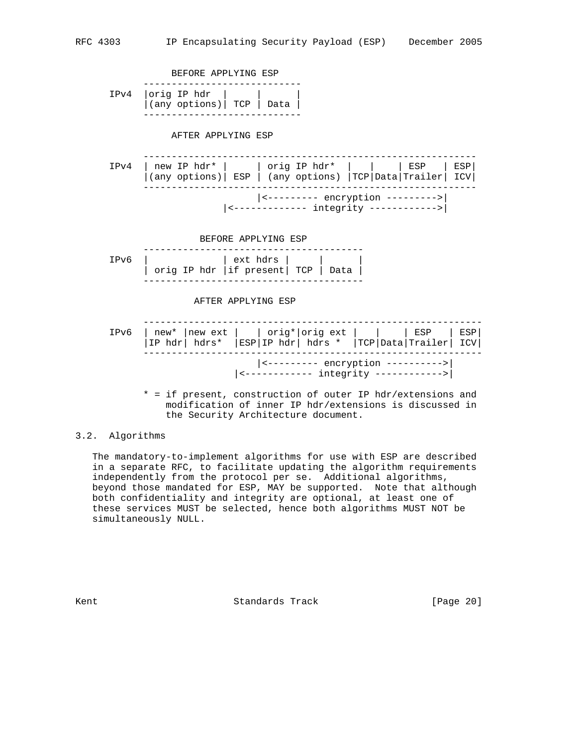

 \* = if present, construction of outer IP hdr/extensions and modification of inner IP hdr/extensions is discussed in the Security Architecture document.

### 3.2. Algorithms

 The mandatory-to-implement algorithms for use with ESP are described in a separate RFC, to facilitate updating the algorithm requirements independently from the protocol per se. Additional algorithms, beyond those mandated for ESP, MAY be supported. Note that although both confidentiality and integrity are optional, at least one of these services MUST be selected, hence both algorithms MUST NOT be simultaneously NULL.

Kent **Standards Track** [Page 20]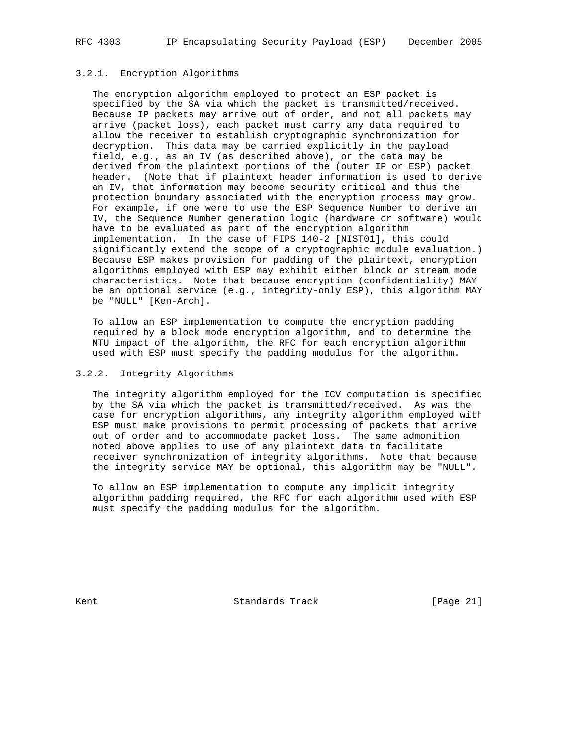#### 3.2.1. Encryption Algorithms

 The encryption algorithm employed to protect an ESP packet is specified by the SA via which the packet is transmitted/received. Because IP packets may arrive out of order, and not all packets may arrive (packet loss), each packet must carry any data required to allow the receiver to establish cryptographic synchronization for decryption. This data may be carried explicitly in the payload field, e.g., as an IV (as described above), or the data may be derived from the plaintext portions of the (outer IP or ESP) packet header. (Note that if plaintext header information is used to derive an IV, that information may become security critical and thus the protection boundary associated with the encryption process may grow. For example, if one were to use the ESP Sequence Number to derive an IV, the Sequence Number generation logic (hardware or software) would have to be evaluated as part of the encryption algorithm implementation. In the case of FIPS 140-2 [NIST01], this could significantly extend the scope of a cryptographic module evaluation.) Because ESP makes provision for padding of the plaintext, encryption algorithms employed with ESP may exhibit either block or stream mode characteristics. Note that because encryption (confidentiality) MAY be an optional service (e.g., integrity-only ESP), this algorithm MAY be "NULL" [Ken-Arch].

 To allow an ESP implementation to compute the encryption padding required by a block mode encryption algorithm, and to determine the MTU impact of the algorithm, the RFC for each encryption algorithm used with ESP must specify the padding modulus for the algorithm.

#### 3.2.2. Integrity Algorithms

 The integrity algorithm employed for the ICV computation is specified by the SA via which the packet is transmitted/received. As was the case for encryption algorithms, any integrity algorithm employed with ESP must make provisions to permit processing of packets that arrive out of order and to accommodate packet loss. The same admonition noted above applies to use of any plaintext data to facilitate receiver synchronization of integrity algorithms. Note that because the integrity service MAY be optional, this algorithm may be "NULL".

 To allow an ESP implementation to compute any implicit integrity algorithm padding required, the RFC for each algorithm used with ESP must specify the padding modulus for the algorithm.

Kent **Standards Track** [Page 21]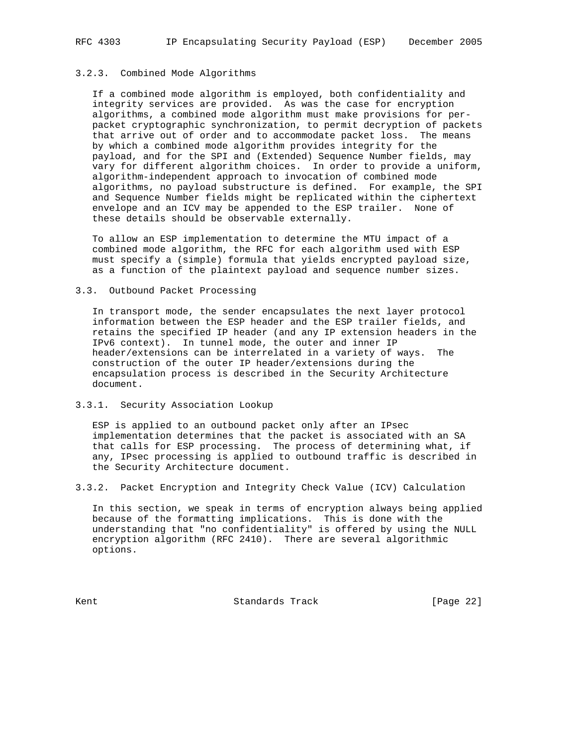#### 3.2.3. Combined Mode Algorithms

 If a combined mode algorithm is employed, both confidentiality and integrity services are provided. As was the case for encryption algorithms, a combined mode algorithm must make provisions for per packet cryptographic synchronization, to permit decryption of packets that arrive out of order and to accommodate packet loss. The means by which a combined mode algorithm provides integrity for the payload, and for the SPI and (Extended) Sequence Number fields, may vary for different algorithm choices. In order to provide a uniform, algorithm-independent approach to invocation of combined mode algorithms, no payload substructure is defined. For example, the SPI and Sequence Number fields might be replicated within the ciphertext envelope and an ICV may be appended to the ESP trailer. None of these details should be observable externally.

 To allow an ESP implementation to determine the MTU impact of a combined mode algorithm, the RFC for each algorithm used with ESP must specify a (simple) formula that yields encrypted payload size, as a function of the plaintext payload and sequence number sizes.

### 3.3. Outbound Packet Processing

 In transport mode, the sender encapsulates the next layer protocol information between the ESP header and the ESP trailer fields, and retains the specified IP header (and any IP extension headers in the IPv6 context). In tunnel mode, the outer and inner IP header/extensions can be interrelated in a variety of ways. The construction of the outer IP header/extensions during the encapsulation process is described in the Security Architecture document.

3.3.1. Security Association Lookup

 ESP is applied to an outbound packet only after an IPsec implementation determines that the packet is associated with an SA that calls for ESP processing. The process of determining what, if any, IPsec processing is applied to outbound traffic is described in the Security Architecture document.

3.3.2. Packet Encryption and Integrity Check Value (ICV) Calculation

 In this section, we speak in terms of encryption always being applied because of the formatting implications. This is done with the understanding that "no confidentiality" is offered by using the NULL encryption algorithm (RFC 2410). There are several algorithmic options.

Kent **Standards Track** [Page 22]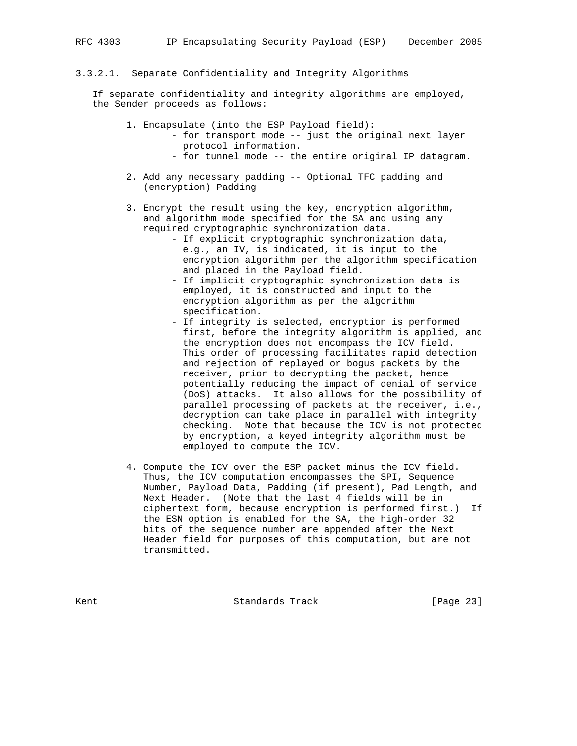#### 3.3.2.1. Separate Confidentiality and Integrity Algorithms

 If separate confidentiality and integrity algorithms are employed, the Sender proceeds as follows:

- 1. Encapsulate (into the ESP Payload field):
	- for transport mode -- just the original next layer protocol information.
		- for tunnel mode -- the entire original IP datagram.
- 2. Add any necessary padding -- Optional TFC padding and (encryption) Padding
- 3. Encrypt the result using the key, encryption algorithm, and algorithm mode specified for the SA and using any required cryptographic synchronization data.
	- If explicit cryptographic synchronization data, e.g., an IV, is indicated, it is input to the encryption algorithm per the algorithm specification and placed in the Payload field.
	- If implicit cryptographic synchronization data is employed, it is constructed and input to the encryption algorithm as per the algorithm specification.
	- If integrity is selected, encryption is performed first, before the integrity algorithm is applied, and the encryption does not encompass the ICV field. This order of processing facilitates rapid detection and rejection of replayed or bogus packets by the receiver, prior to decrypting the packet, hence potentially reducing the impact of denial of service (DoS) attacks. It also allows for the possibility of parallel processing of packets at the receiver, i.e., decryption can take place in parallel with integrity checking. Note that because the ICV is not protected by encryption, a keyed integrity algorithm must be employed to compute the ICV.
- 4. Compute the ICV over the ESP packet minus the ICV field. Thus, the ICV computation encompasses the SPI, Sequence Number, Payload Data, Padding (if present), Pad Length, and Next Header. (Note that the last 4 fields will be in ciphertext form, because encryption is performed first.) If the ESN option is enabled for the SA, the high-order 32 bits of the sequence number are appended after the Next Header field for purposes of this computation, but are not transmitted.

Kent **Standards Track** [Page 23]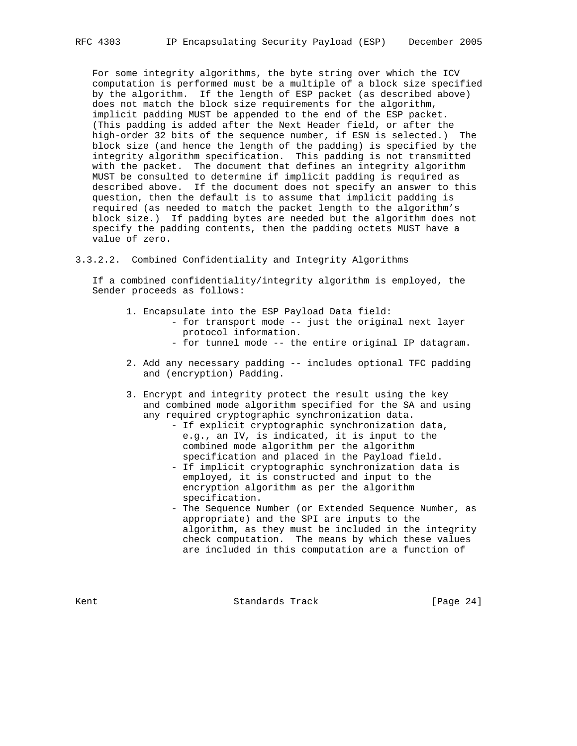For some integrity algorithms, the byte string over which the ICV computation is performed must be a multiple of a block size specified by the algorithm. If the length of ESP packet (as described above) does not match the block size requirements for the algorithm, implicit padding MUST be appended to the end of the ESP packet. (This padding is added after the Next Header field, or after the high-order 32 bits of the sequence number, if ESN is selected.) The block size (and hence the length of the padding) is specified by the integrity algorithm specification. This padding is not transmitted with the packet. The document that defines an integrity algorithm MUST be consulted to determine if implicit padding is required as described above. If the document does not specify an answer to this question, then the default is to assume that implicit padding is required (as needed to match the packet length to the algorithm's block size.) If padding bytes are needed but the algorithm does not specify the padding contents, then the padding octets MUST have a value of zero.

3.3.2.2. Combined Confidentiality and Integrity Algorithms

 If a combined confidentiality/integrity algorithm is employed, the Sender proceeds as follows:

- 1. Encapsulate into the ESP Payload Data field:
	- for transport mode -- just the original next layer protocol information.
		- for tunnel mode -- the entire original IP datagram.
- 2. Add any necessary padding -- includes optional TFC padding and (encryption) Padding.
- 3. Encrypt and integrity protect the result using the key and combined mode algorithm specified for the SA and using any required cryptographic synchronization data.
	- If explicit cryptographic synchronization data, e.g., an IV, is indicated, it is input to the combined mode algorithm per the algorithm specification and placed in the Payload field.
	- If implicit cryptographic synchronization data is employed, it is constructed and input to the encryption algorithm as per the algorithm specification.
	- The Sequence Number (or Extended Sequence Number, as appropriate) and the SPI are inputs to the algorithm, as they must be included in the integrity check computation. The means by which these values are included in this computation are a function of

Kent **Standards Track** [Page 24]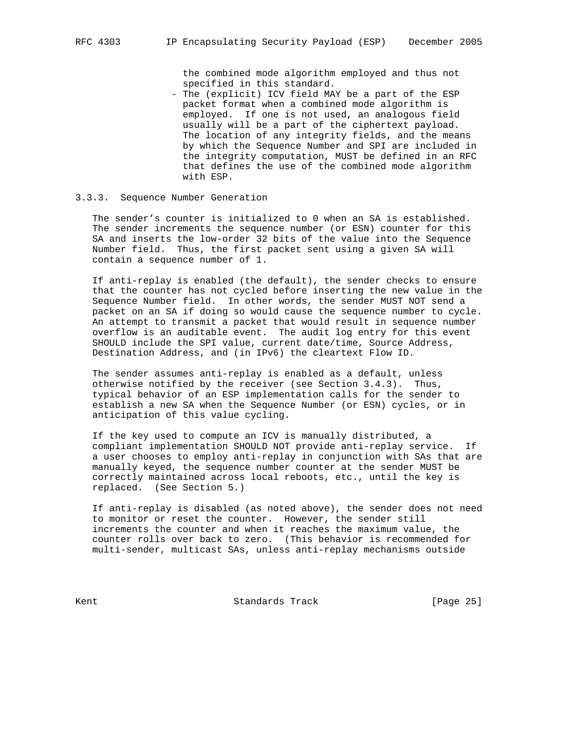the combined mode algorithm employed and thus not specified in this standard.

 - The (explicit) ICV field MAY be a part of the ESP packet format when a combined mode algorithm is employed. If one is not used, an analogous field usually will be a part of the ciphertext payload. The location of any integrity fields, and the means by which the Sequence Number and SPI are included in the integrity computation, MUST be defined in an RFC that defines the use of the combined mode algorithm with ESP.

#### 3.3.3. Sequence Number Generation

 The sender's counter is initialized to 0 when an SA is established. The sender increments the sequence number (or ESN) counter for this SA and inserts the low-order 32 bits of the value into the Sequence Number field. Thus, the first packet sent using a given SA will contain a sequence number of 1.

 If anti-replay is enabled (the default), the sender checks to ensure that the counter has not cycled before inserting the new value in the Sequence Number field. In other words, the sender MUST NOT send a packet on an SA if doing so would cause the sequence number to cycle. An attempt to transmit a packet that would result in sequence number overflow is an auditable event. The audit log entry for this event SHOULD include the SPI value, current date/time, Source Address, Destination Address, and (in IPv6) the cleartext Flow ID.

 The sender assumes anti-replay is enabled as a default, unless otherwise notified by the receiver (see Section 3.4.3). Thus, typical behavior of an ESP implementation calls for the sender to establish a new SA when the Sequence Number (or ESN) cycles, or in anticipation of this value cycling.

 If the key used to compute an ICV is manually distributed, a compliant implementation SHOULD NOT provide anti-replay service. If a user chooses to employ anti-replay in conjunction with SAs that are manually keyed, the sequence number counter at the sender MUST be correctly maintained across local reboots, etc., until the key is replaced. (See Section 5.)

 If anti-replay is disabled (as noted above), the sender does not need to monitor or reset the counter. However, the sender still increments the counter and when it reaches the maximum value, the counter rolls over back to zero. (This behavior is recommended for multi-sender, multicast SAs, unless anti-replay mechanisms outside

Kent **Standards Track** [Page 25]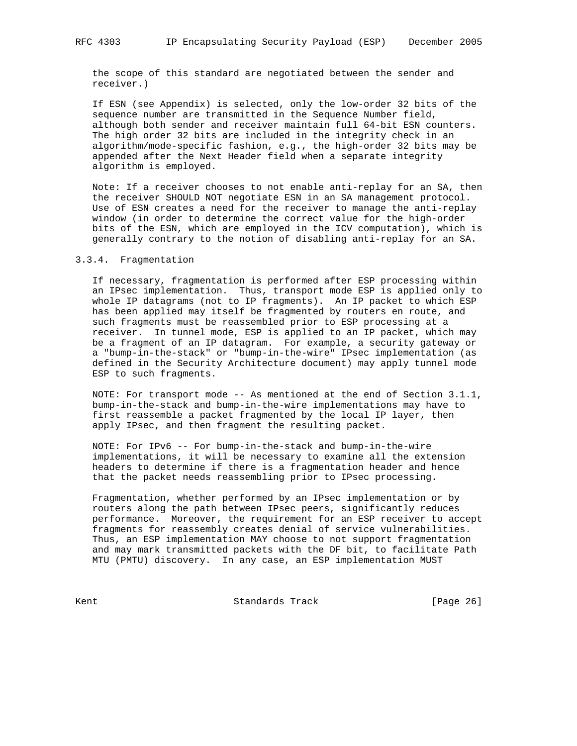the scope of this standard are negotiated between the sender and receiver.)

 If ESN (see Appendix) is selected, only the low-order 32 bits of the sequence number are transmitted in the Sequence Number field, although both sender and receiver maintain full 64-bit ESN counters. The high order 32 bits are included in the integrity check in an algorithm/mode-specific fashion, e.g., the high-order 32 bits may be appended after the Next Header field when a separate integrity algorithm is employed.

 Note: If a receiver chooses to not enable anti-replay for an SA, then the receiver SHOULD NOT negotiate ESN in an SA management protocol. Use of ESN creates a need for the receiver to manage the anti-replay window (in order to determine the correct value for the high-order bits of the ESN, which are employed in the ICV computation), which is generally contrary to the notion of disabling anti-replay for an SA.

#### 3.3.4. Fragmentation

 If necessary, fragmentation is performed after ESP processing within an IPsec implementation. Thus, transport mode ESP is applied only to whole IP datagrams (not to IP fragments). An IP packet to which ESP has been applied may itself be fragmented by routers en route, and such fragments must be reassembled prior to ESP processing at a receiver. In tunnel mode, ESP is applied to an IP packet, which may be a fragment of an IP datagram. For example, a security gateway or a "bump-in-the-stack" or "bump-in-the-wire" IPsec implementation (as defined in the Security Architecture document) may apply tunnel mode ESP to such fragments.

 NOTE: For transport mode -- As mentioned at the end of Section 3.1.1, bump-in-the-stack and bump-in-the-wire implementations may have to first reassemble a packet fragmented by the local IP layer, then apply IPsec, and then fragment the resulting packet.

 NOTE: For IPv6 -- For bump-in-the-stack and bump-in-the-wire implementations, it will be necessary to examine all the extension headers to determine if there is a fragmentation header and hence that the packet needs reassembling prior to IPsec processing.

 Fragmentation, whether performed by an IPsec implementation or by routers along the path between IPsec peers, significantly reduces performance. Moreover, the requirement for an ESP receiver to accept fragments for reassembly creates denial of service vulnerabilities. Thus, an ESP implementation MAY choose to not support fragmentation and may mark transmitted packets with the DF bit, to facilitate Path MTU (PMTU) discovery. In any case, an ESP implementation MUST

Kent **Example 26** Standards Track **Example 26** [Page 26]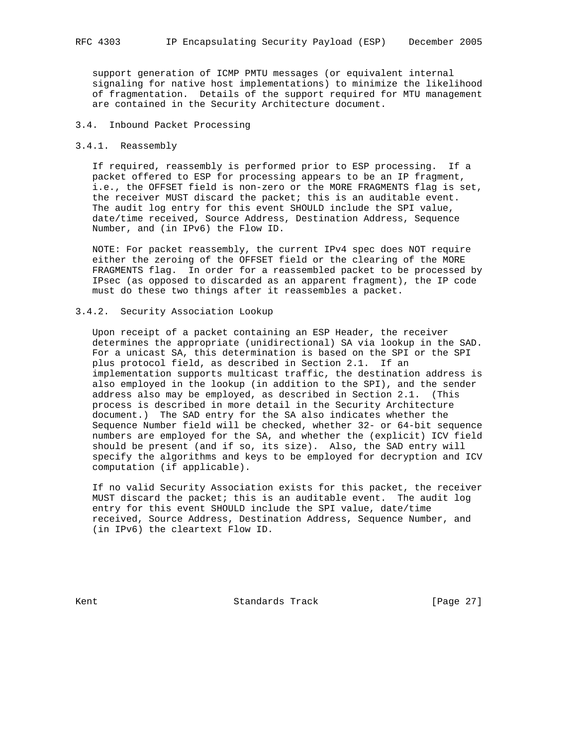support generation of ICMP PMTU messages (or equivalent internal signaling for native host implementations) to minimize the likelihood of fragmentation. Details of the support required for MTU management are contained in the Security Architecture document.

### 3.4. Inbound Packet Processing

#### 3.4.1. Reassembly

 If required, reassembly is performed prior to ESP processing. If a packet offered to ESP for processing appears to be an IP fragment, i.e., the OFFSET field is non-zero or the MORE FRAGMENTS flag is set, the receiver MUST discard the packet; this is an auditable event. The audit log entry for this event SHOULD include the SPI value, date/time received, Source Address, Destination Address, Sequence Number, and (in IPv6) the Flow ID.

 NOTE: For packet reassembly, the current IPv4 spec does NOT require either the zeroing of the OFFSET field or the clearing of the MORE FRAGMENTS flag. In order for a reassembled packet to be processed by IPsec (as opposed to discarded as an apparent fragment), the IP code must do these two things after it reassembles a packet.

### 3.4.2. Security Association Lookup

 Upon receipt of a packet containing an ESP Header, the receiver determines the appropriate (unidirectional) SA via lookup in the SAD. For a unicast SA, this determination is based on the SPI or the SPI plus protocol field, as described in Section 2.1. If an implementation supports multicast traffic, the destination address is also employed in the lookup (in addition to the SPI), and the sender address also may be employed, as described in Section 2.1. (This process is described in more detail in the Security Architecture document.) The SAD entry for the SA also indicates whether the Sequence Number field will be checked, whether 32- or 64-bit sequence numbers are employed for the SA, and whether the (explicit) ICV field should be present (and if so, its size). Also, the SAD entry will specify the algorithms and keys to be employed for decryption and ICV computation (if applicable).

 If no valid Security Association exists for this packet, the receiver MUST discard the packet; this is an auditable event. The audit log entry for this event SHOULD include the SPI value, date/time received, Source Address, Destination Address, Sequence Number, and (in IPv6) the cleartext Flow ID.

Kent **Standards Track** [Page 27]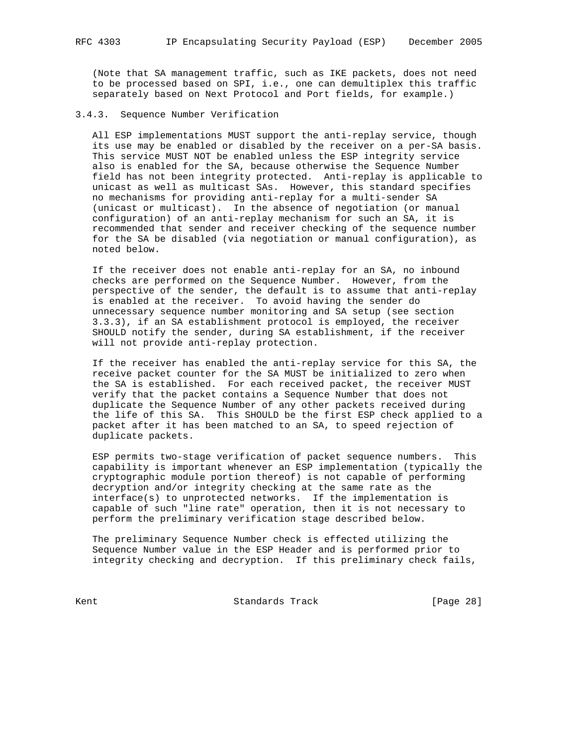(Note that SA management traffic, such as IKE packets, does not need to be processed based on SPI, i.e., one can demultiplex this traffic separately based on Next Protocol and Port fields, for example.)

### 3.4.3. Sequence Number Verification

 All ESP implementations MUST support the anti-replay service, though its use may be enabled or disabled by the receiver on a per-SA basis. This service MUST NOT be enabled unless the ESP integrity service also is enabled for the SA, because otherwise the Sequence Number field has not been integrity protected. Anti-replay is applicable to unicast as well as multicast SAs. However, this standard specifies no mechanisms for providing anti-replay for a multi-sender SA (unicast or multicast). In the absence of negotiation (or manual configuration) of an anti-replay mechanism for such an SA, it is recommended that sender and receiver checking of the sequence number for the SA be disabled (via negotiation or manual configuration), as noted below.

 If the receiver does not enable anti-replay for an SA, no inbound checks are performed on the Sequence Number. However, from the perspective of the sender, the default is to assume that anti-replay is enabled at the receiver. To avoid having the sender do unnecessary sequence number monitoring and SA setup (see section 3.3.3), if an SA establishment protocol is employed, the receiver SHOULD notify the sender, during SA establishment, if the receiver will not provide anti-replay protection.

 If the receiver has enabled the anti-replay service for this SA, the receive packet counter for the SA MUST be initialized to zero when the SA is established. For each received packet, the receiver MUST verify that the packet contains a Sequence Number that does not duplicate the Sequence Number of any other packets received during the life of this SA. This SHOULD be the first ESP check applied to a packet after it has been matched to an SA, to speed rejection of duplicate packets.

 ESP permits two-stage verification of packet sequence numbers. This capability is important whenever an ESP implementation (typically the cryptographic module portion thereof) is not capable of performing decryption and/or integrity checking at the same rate as the interface(s) to unprotected networks. If the implementation is capable of such "line rate" operation, then it is not necessary to perform the preliminary verification stage described below.

 The preliminary Sequence Number check is effected utilizing the Sequence Number value in the ESP Header and is performed prior to integrity checking and decryption. If this preliminary check fails,

Kent **Example 28** Standards Track **Example 28** [Page 28]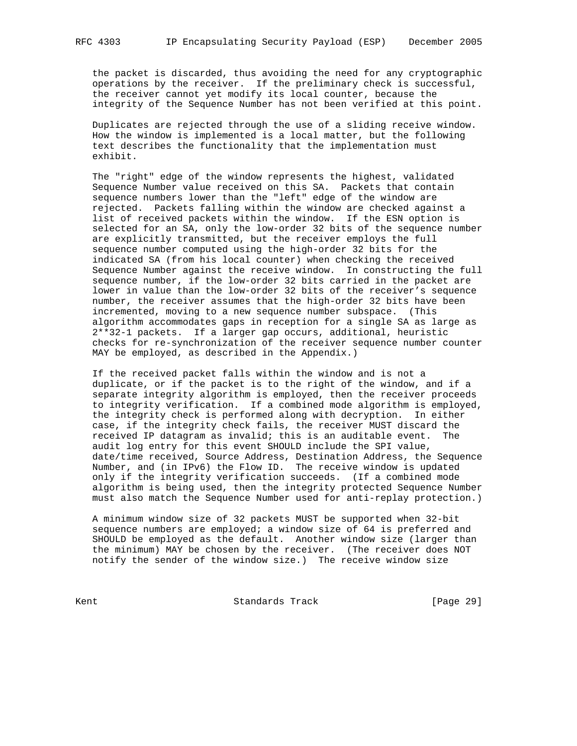the packet is discarded, thus avoiding the need for any cryptographic operations by the receiver. If the preliminary check is successful, the receiver cannot yet modify its local counter, because the integrity of the Sequence Number has not been verified at this point.

 Duplicates are rejected through the use of a sliding receive window. How the window is implemented is a local matter, but the following text describes the functionality that the implementation must exhibit.

 The "right" edge of the window represents the highest, validated Sequence Number value received on this SA. Packets that contain sequence numbers lower than the "left" edge of the window are rejected. Packets falling within the window are checked against a list of received packets within the window. If the ESN option is selected for an SA, only the low-order 32 bits of the sequence number are explicitly transmitted, but the receiver employs the full sequence number computed using the high-order 32 bits for the indicated SA (from his local counter) when checking the received Sequence Number against the receive window. In constructing the full sequence number, if the low-order 32 bits carried in the packet are lower in value than the low-order 32 bits of the receiver's sequence number, the receiver assumes that the high-order 32 bits have been incremented, moving to a new sequence number subspace. (This algorithm accommodates gaps in reception for a single SA as large as 2\*\*32-1 packets. If a larger gap occurs, additional, heuristic checks for re-synchronization of the receiver sequence number counter MAY be employed, as described in the Appendix.)

 If the received packet falls within the window and is not a duplicate, or if the packet is to the right of the window, and if a separate integrity algorithm is employed, then the receiver proceeds to integrity verification. If a combined mode algorithm is employed, the integrity check is performed along with decryption. In either case, if the integrity check fails, the receiver MUST discard the received IP datagram as invalid; this is an auditable event. The audit log entry for this event SHOULD include the SPI value, date/time received, Source Address, Destination Address, the Sequence Number, and (in IPv6) the Flow ID. The receive window is updated only if the integrity verification succeeds. (If a combined mode algorithm is being used, then the integrity protected Sequence Number must also match the Sequence Number used for anti-replay protection.)

 A minimum window size of 32 packets MUST be supported when 32-bit sequence numbers are employed; a window size of 64 is preferred and SHOULD be employed as the default. Another window size (larger than the minimum) MAY be chosen by the receiver. (The receiver does NOT notify the sender of the window size.) The receive window size

Kent **Standards Track** [Page 29]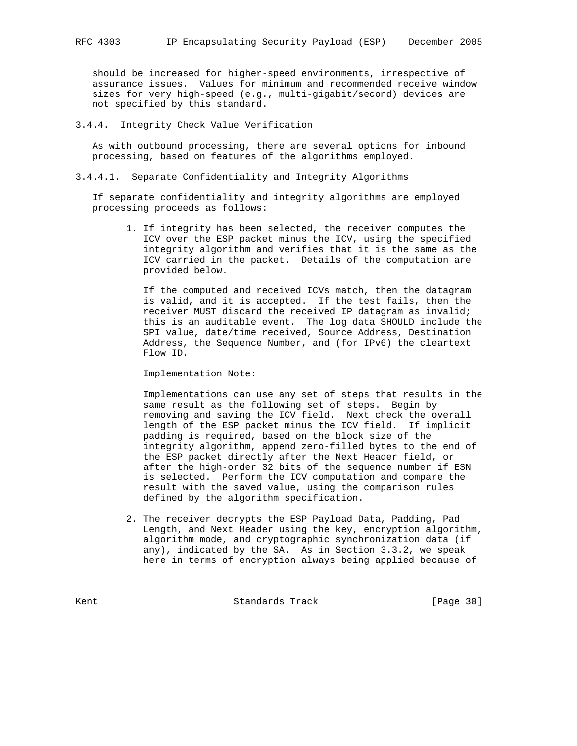should be increased for higher-speed environments, irrespective of assurance issues. Values for minimum and recommended receive window sizes for very high-speed (e.g., multi-gigabit/second) devices are not specified by this standard.

3.4.4. Integrity Check Value Verification

 As with outbound processing, there are several options for inbound processing, based on features of the algorithms employed.

3.4.4.1. Separate Confidentiality and Integrity Algorithms

 If separate confidentiality and integrity algorithms are employed processing proceeds as follows:

 1. If integrity has been selected, the receiver computes the ICV over the ESP packet minus the ICV, using the specified integrity algorithm and verifies that it is the same as the ICV carried in the packet. Details of the computation are provided below.

 If the computed and received ICVs match, then the datagram is valid, and it is accepted. If the test fails, then the receiver MUST discard the received IP datagram as invalid; this is an auditable event. The log data SHOULD include the SPI value, date/time received, Source Address, Destination Address, the Sequence Number, and (for IPv6) the cleartext Flow ID.

Implementation Note:

 Implementations can use any set of steps that results in the same result as the following set of steps. Begin by removing and saving the ICV field. Next check the overall length of the ESP packet minus the ICV field. If implicit padding is required, based on the block size of the integrity algorithm, append zero-filled bytes to the end of the ESP packet directly after the Next Header field, or after the high-order 32 bits of the sequence number if ESN is selected. Perform the ICV computation and compare the result with the saved value, using the comparison rules defined by the algorithm specification.

 2. The receiver decrypts the ESP Payload Data, Padding, Pad Length, and Next Header using the key, encryption algorithm, algorithm mode, and cryptographic synchronization data (if any), indicated by the SA. As in Section 3.3.2, we speak here in terms of encryption always being applied because of

Kent **Standards Track** [Page 30]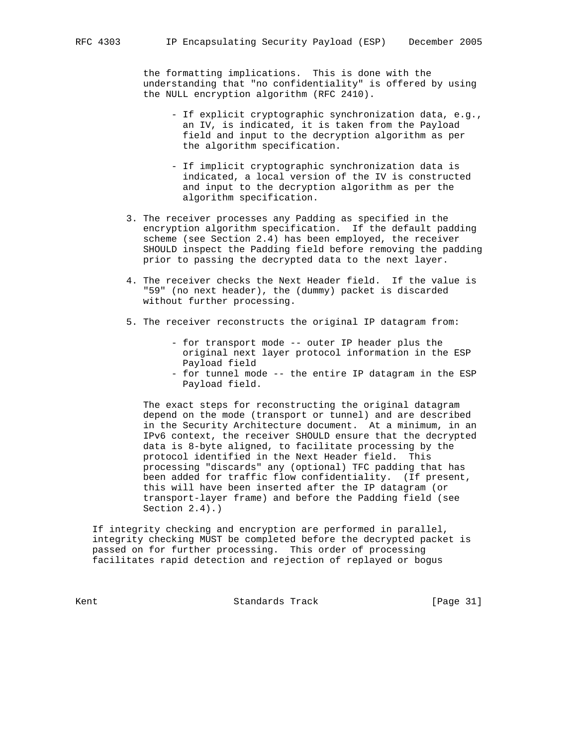the formatting implications. This is done with the understanding that "no confidentiality" is offered by using the NULL encryption algorithm (RFC 2410).

- If explicit cryptographic synchronization data, e.g., an IV, is indicated, it is taken from the Payload field and input to the decryption algorithm as per the algorithm specification.
- If implicit cryptographic synchronization data is indicated, a local version of the IV is constructed and input to the decryption algorithm as per the algorithm specification.
- 3. The receiver processes any Padding as specified in the encryption algorithm specification. If the default padding scheme (see Section 2.4) has been employed, the receiver SHOULD inspect the Padding field before removing the padding prior to passing the decrypted data to the next layer.
- 4. The receiver checks the Next Header field. If the value is "59" (no next header), the (dummy) packet is discarded without further processing.
- 5. The receiver reconstructs the original IP datagram from:
	- for transport mode -- outer IP header plus the original next layer protocol information in the ESP Payload field
	- for tunnel mode -- the entire IP datagram in the ESP Payload field.

 The exact steps for reconstructing the original datagram depend on the mode (transport or tunnel) and are described in the Security Architecture document. At a minimum, in an IPv6 context, the receiver SHOULD ensure that the decrypted data is 8-byte aligned, to facilitate processing by the protocol identified in the Next Header field. This processing "discards" any (optional) TFC padding that has been added for traffic flow confidentiality. (If present, this will have been inserted after the IP datagram (or transport-layer frame) and before the Padding field (see Section 2.4).)

 If integrity checking and encryption are performed in parallel, integrity checking MUST be completed before the decrypted packet is passed on for further processing. This order of processing facilitates rapid detection and rejection of replayed or bogus

Kent **Standards Track** [Page 31]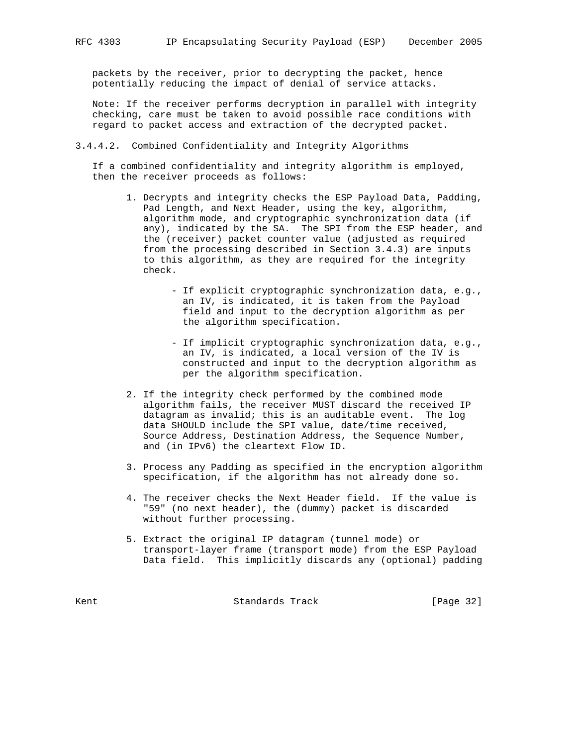packets by the receiver, prior to decrypting the packet, hence potentially reducing the impact of denial of service attacks.

 Note: If the receiver performs decryption in parallel with integrity checking, care must be taken to avoid possible race conditions with regard to packet access and extraction of the decrypted packet.

3.4.4.2. Combined Confidentiality and Integrity Algorithms

 If a combined confidentiality and integrity algorithm is employed, then the receiver proceeds as follows:

- 1. Decrypts and integrity checks the ESP Payload Data, Padding, Pad Length, and Next Header, using the key, algorithm, algorithm mode, and cryptographic synchronization data (if any), indicated by the SA. The SPI from the ESP header, and the (receiver) packet counter value (adjusted as required from the processing described in Section 3.4.3) are inputs to this algorithm, as they are required for the integrity check.
	- If explicit cryptographic synchronization data, e.g., an IV, is indicated, it is taken from the Payload field and input to the decryption algorithm as per the algorithm specification.
	- If implicit cryptographic synchronization data, e.g., an IV, is indicated, a local version of the IV is constructed and input to the decryption algorithm as per the algorithm specification.
- 2. If the integrity check performed by the combined mode algorithm fails, the receiver MUST discard the received IP datagram as invalid; this is an auditable event. The log data SHOULD include the SPI value, date/time received, Source Address, Destination Address, the Sequence Number, and (in IPv6) the cleartext Flow ID.
- 3. Process any Padding as specified in the encryption algorithm specification, if the algorithm has not already done so.
- 4. The receiver checks the Next Header field. If the value is "59" (no next header), the (dummy) packet is discarded without further processing.
- 5. Extract the original IP datagram (tunnel mode) or transport-layer frame (transport mode) from the ESP Payload Data field. This implicitly discards any (optional) padding

Kent **Standards Track** [Page 32]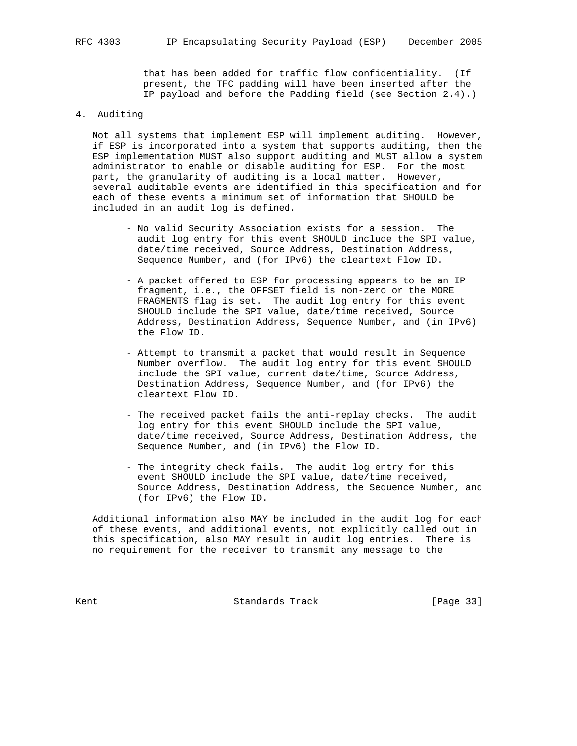that has been added for traffic flow confidentiality. (If present, the TFC padding will have been inserted after the IP payload and before the Padding field (see Section 2.4).)

### 4. Auditing

 Not all systems that implement ESP will implement auditing. However, if ESP is incorporated into a system that supports auditing, then the ESP implementation MUST also support auditing and MUST allow a system administrator to enable or disable auditing for ESP. For the most part, the granularity of auditing is a local matter. However, several auditable events are identified in this specification and for each of these events a minimum set of information that SHOULD be included in an audit log is defined.

- No valid Security Association exists for a session. The audit log entry for this event SHOULD include the SPI value, date/time received, Source Address, Destination Address, Sequence Number, and (for IPv6) the cleartext Flow ID.
- A packet offered to ESP for processing appears to be an IP fragment, i.e., the OFFSET field is non-zero or the MORE FRAGMENTS flag is set. The audit log entry for this event SHOULD include the SPI value, date/time received, Source Address, Destination Address, Sequence Number, and (in IPv6) the Flow ID.
- Attempt to transmit a packet that would result in Sequence Number overflow. The audit log entry for this event SHOULD include the SPI value, current date/time, Source Address, Destination Address, Sequence Number, and (for IPv6) the cleartext Flow ID.
- The received packet fails the anti-replay checks. The audit log entry for this event SHOULD include the SPI value, date/time received, Source Address, Destination Address, the Sequence Number, and (in IPv6) the Flow ID.
- The integrity check fails. The audit log entry for this event SHOULD include the SPI value, date/time received, Source Address, Destination Address, the Sequence Number, and (for IPv6) the Flow ID.

 Additional information also MAY be included in the audit log for each of these events, and additional events, not explicitly called out in this specification, also MAY result in audit log entries. There is no requirement for the receiver to transmit any message to the

Kent **Standards Track** [Page 33]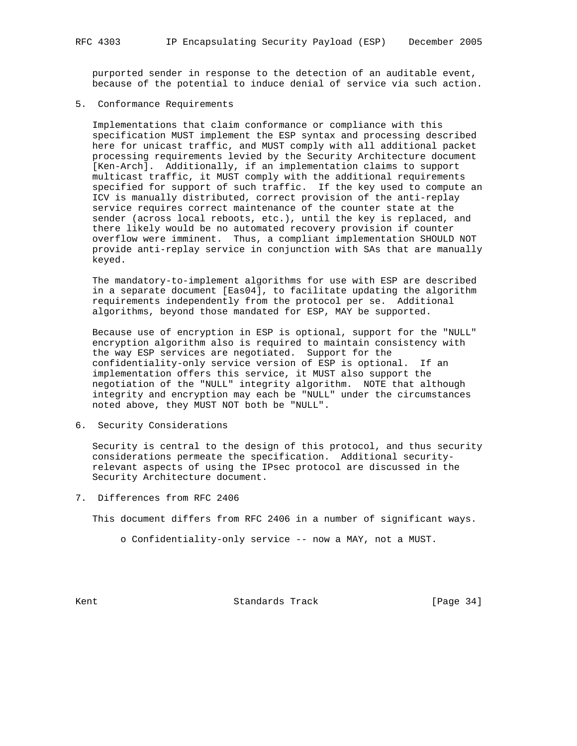purported sender in response to the detection of an auditable event, because of the potential to induce denial of service via such action.

5. Conformance Requirements

 Implementations that claim conformance or compliance with this specification MUST implement the ESP syntax and processing described here for unicast traffic, and MUST comply with all additional packet processing requirements levied by the Security Architecture document [Ken-Arch]. Additionally, if an implementation claims to support multicast traffic, it MUST comply with the additional requirements specified for support of such traffic. If the key used to compute an ICV is manually distributed, correct provision of the anti-replay service requires correct maintenance of the counter state at the sender (across local reboots, etc.), until the key is replaced, and there likely would be no automated recovery provision if counter overflow were imminent. Thus, a compliant implementation SHOULD NOT provide anti-replay service in conjunction with SAs that are manually keyed.

 The mandatory-to-implement algorithms for use with ESP are described in a separate document [Eas04], to facilitate updating the algorithm requirements independently from the protocol per se. Additional algorithms, beyond those mandated for ESP, MAY be supported.

 Because use of encryption in ESP is optional, support for the "NULL" encryption algorithm also is required to maintain consistency with the way ESP services are negotiated. Support for the confidentiality-only service version of ESP is optional. If an implementation offers this service, it MUST also support the negotiation of the "NULL" integrity algorithm. NOTE that although integrity and encryption may each be "NULL" under the circumstances noted above, they MUST NOT both be "NULL".

6. Security Considerations

 Security is central to the design of this protocol, and thus security considerations permeate the specification. Additional security relevant aspects of using the IPsec protocol are discussed in the Security Architecture document.

7. Differences from RFC 2406

This document differs from RFC 2406 in a number of significant ways.

o Confidentiality-only service -- now a MAY, not a MUST.

Kent **Standards Track** [Page 34]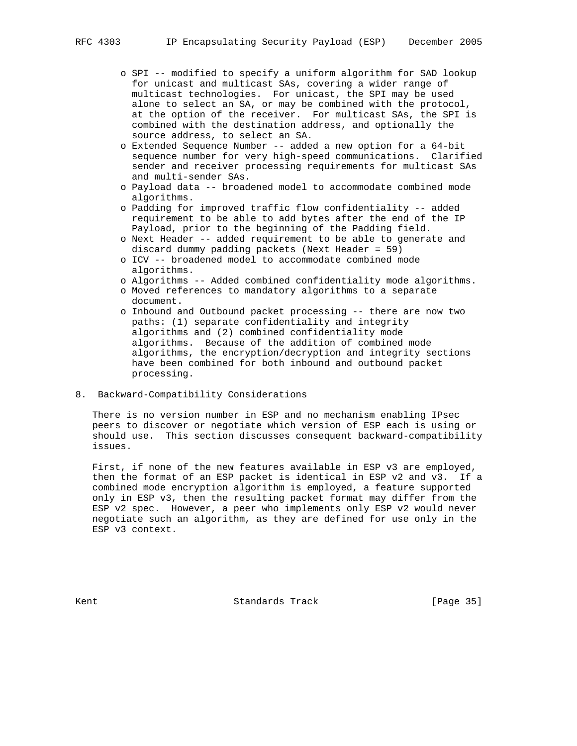- o SPI -- modified to specify a uniform algorithm for SAD lookup for unicast and multicast SAs, covering a wider range of multicast technologies. For unicast, the SPI may be used alone to select an SA, or may be combined with the protocol, at the option of the receiver. For multicast SAs, the SPI is combined with the destination address, and optionally the source address, to select an SA.
- o Extended Sequence Number -- added a new option for a 64-bit sequence number for very high-speed communications. Clarified sender and receiver processing requirements for multicast SAs and multi-sender SAs.
- o Payload data -- broadened model to accommodate combined mode algorithms.
- o Padding for improved traffic flow confidentiality -- added requirement to be able to add bytes after the end of the IP Payload, prior to the beginning of the Padding field.
- o Next Header -- added requirement to be able to generate and discard dummy padding packets (Next Header = 59)
- o ICV -- broadened model to accommodate combined mode algorithms.
- o Algorithms -- Added combined confidentiality mode algorithms.
- o Moved references to mandatory algorithms to a separate document.
- o Inbound and Outbound packet processing -- there are now two paths: (1) separate confidentiality and integrity algorithms and (2) combined confidentiality mode algorithms. Because of the addition of combined mode algorithms, the encryption/decryption and integrity sections have been combined for both inbound and outbound packet processing.
- 8. Backward-Compatibility Considerations

 There is no version number in ESP and no mechanism enabling IPsec peers to discover or negotiate which version of ESP each is using or should use. This section discusses consequent backward-compatibility issues.

 First, if none of the new features available in ESP v3 are employed, then the format of an ESP packet is identical in ESP v2 and v3. If a combined mode encryption algorithm is employed, a feature supported only in ESP v3, then the resulting packet format may differ from the ESP v2 spec. However, a peer who implements only ESP v2 would never negotiate such an algorithm, as they are defined for use only in the ESP v3 context.

Kent George Communication (Standards Track Track Track [Page 35]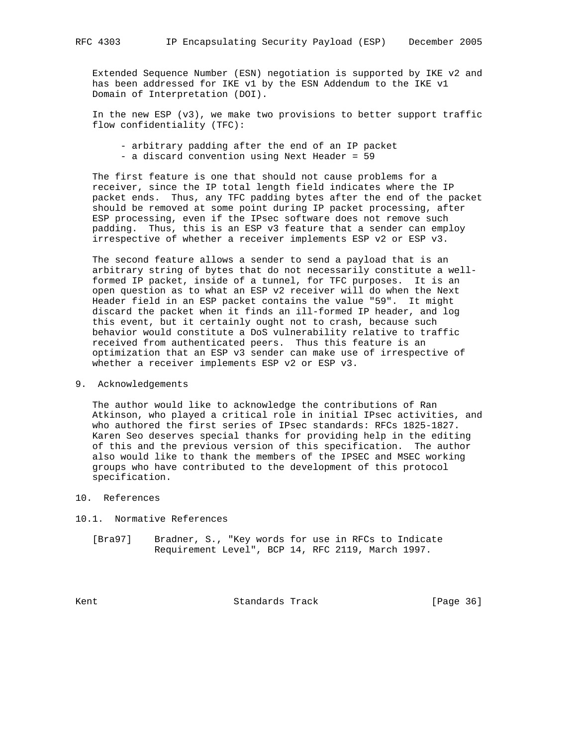Extended Sequence Number (ESN) negotiation is supported by IKE v2 and has been addressed for IKE v1 by the ESN Addendum to the IKE v1 Domain of Interpretation (DOI).

 In the new ESP (v3), we make two provisions to better support traffic flow confidentiality (TFC):

 - arbitrary padding after the end of an IP packet - a discard convention using Next Header = 59

 The first feature is one that should not cause problems for a receiver, since the IP total length field indicates where the IP packet ends. Thus, any TFC padding bytes after the end of the packet should be removed at some point during IP packet processing, after ESP processing, even if the IPsec software does not remove such padding. Thus, this is an ESP v3 feature that a sender can employ irrespective of whether a receiver implements ESP v2 or ESP v3.

 The second feature allows a sender to send a payload that is an arbitrary string of bytes that do not necessarily constitute a well formed IP packet, inside of a tunnel, for TFC purposes. It is an open question as to what an ESP v2 receiver will do when the Next Header field in an ESP packet contains the value "59". It might discard the packet when it finds an ill-formed IP header, and log this event, but it certainly ought not to crash, because such behavior would constitute a DoS vulnerability relative to traffic received from authenticated peers. Thus this feature is an optimization that an ESP v3 sender can make use of irrespective of whether a receiver implements ESP v2 or ESP v3.

9. Acknowledgements

 The author would like to acknowledge the contributions of Ran Atkinson, who played a critical role in initial IPsec activities, and who authored the first series of IPsec standards: RFCs 1825-1827. Karen Seo deserves special thanks for providing help in the editing of this and the previous version of this specification. The author also would like to thank the members of the IPSEC and MSEC working groups who have contributed to the development of this protocol specification.

- 10. References
- 10.1. Normative References
	- [Bra97] Bradner, S., "Key words for use in RFCs to Indicate Requirement Level", BCP 14, RFC 2119, March 1997.

Kent **Standards Track** [Page 36]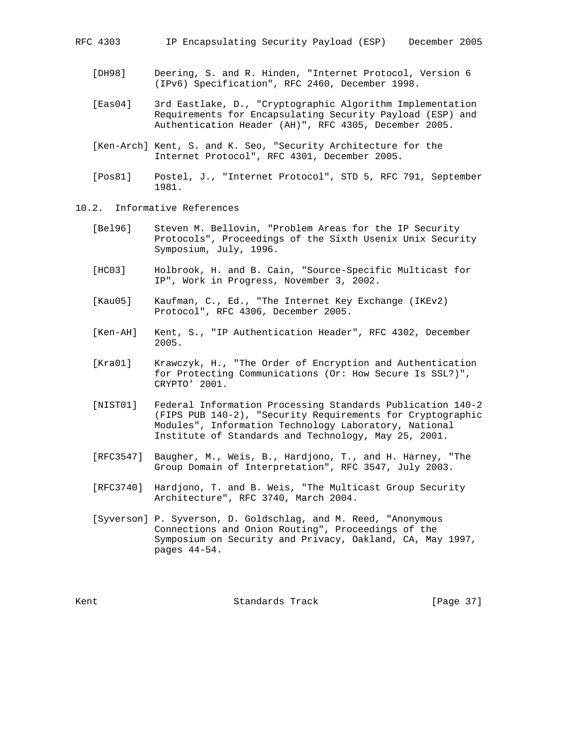- [DH98] Deering, S. and R. Hinden, "Internet Protocol, Version 6 (IPv6) Specification", RFC 2460, December 1998.
- [Eas04] 3rd Eastlake, D., "Cryptographic Algorithm Implementation Requirements for Encapsulating Security Payload (ESP) and Authentication Header (AH)", RFC 4305, December 2005.
- [Ken-Arch] Kent, S. and K. Seo, "Security Architecture for the Internet Protocol", RFC 4301, December 2005.
- [Pos81] Postel, J., "Internet Protocol", STD 5, RFC 791, September 1981.
- 10.2. Informative References
	- [Bel96] Steven M. Bellovin, "Problem Areas for the IP Security Protocols", Proceedings of the Sixth Usenix Unix Security Symposium, July, 1996.
	- [HC03] Holbrook, H. and B. Cain, "Source-Specific Multicast for IP", Work in Progress, November 3, 2002.
	- [Kau05] Kaufman, C., Ed., "The Internet Key Exchange (IKEv2) Protocol", RFC 4306, December 2005.
	- [Ken-AH] Kent, S., "IP Authentication Header", RFC 4302, December 2005.
	- [Kra01] Krawczyk, H., "The Order of Encryption and Authentication for Protecting Communications (Or: How Secure Is SSL?)", CRYPTO' 2001.
	- [NIST01] Federal Information Processing Standards Publication 140-2 (FIPS PUB 140-2), "Security Requirements for Cryptographic Modules", Information Technology Laboratory, National Institute of Standards and Technology, May 25, 2001.
	- [RFC3547] Baugher, M., Weis, B., Hardjono, T., and H. Harney, "The Group Domain of Interpretation", RFC 3547, July 2003.
	- [RFC3740] Hardjono, T. and B. Weis, "The Multicast Group Security Architecture", RFC 3740, March 2004.
	- [Syverson] P. Syverson, D. Goldschlag, and M. Reed, "Anonymous Connections and Onion Routing", Proceedings of the Symposium on Security and Privacy, Oakland, CA, May 1997, pages 44-54.

Kent George Standards Track [Page 37]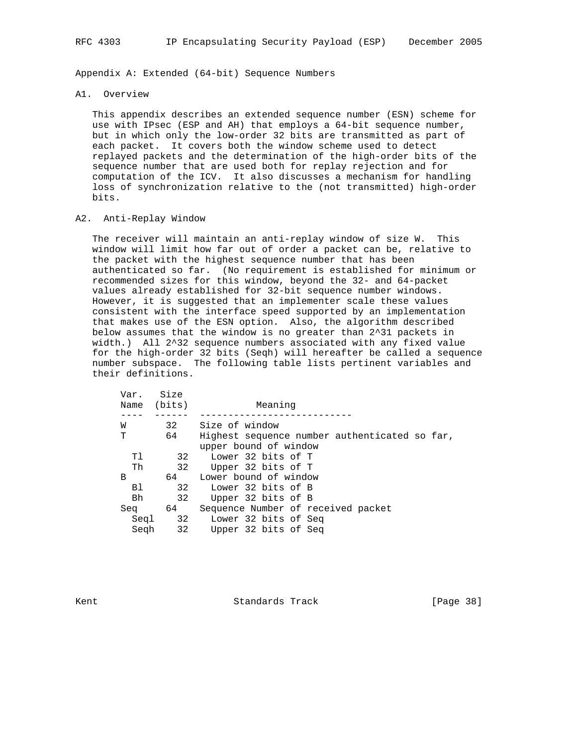Appendix A: Extended (64-bit) Sequence Numbers

#### A1. Overview

 This appendix describes an extended sequence number (ESN) scheme for use with IPsec (ESP and AH) that employs a 64-bit sequence number, but in which only the low-order 32 bits are transmitted as part of each packet. It covers both the window scheme used to detect replayed packets and the determination of the high-order bits of the sequence number that are used both for replay rejection and for computation of the ICV. It also discusses a mechanism for handling loss of synchronization relative to the (not transmitted) high-order bits.

### A2. Anti-Replay Window

 The receiver will maintain an anti-replay window of size W. This window will limit how far out of order a packet can be, relative to the packet with the highest sequence number that has been authenticated so far. (No requirement is established for minimum or recommended sizes for this window, beyond the 32- and 64-packet values already established for 32-bit sequence number windows. However, it is suggested that an implementer scale these values consistent with the interface speed supported by an implementation that makes use of the ESN option. Also, the algorithm described below assumes that the window is no greater than 2^31 packets in width.) All 2^32 sequence numbers associated with any fixed value for the high-order 32 bits (Seqh) will hereafter be called a sequence number subspace. The following table lists pertinent variables and their definitions.

| Var.<br>Name | Size<br>(bits) | Meaning                                                                |
|--------------|----------------|------------------------------------------------------------------------|
|              |                |                                                                        |
| W            | 32             | Size of window                                                         |
| т            | 64             | Highest sequence number authenticated so far,<br>upper bound of window |
| тı           | 32             | Lower 32 bits of T                                                     |
| Th           | 32             | Upper 32 bits of T                                                     |
| B            | 64             | Lower bound of window                                                  |
| B1           | 32             | Lower 32 bits of B                                                     |
| Bh           | 32             | Upper 32 bits of B                                                     |
| Sea          | 64             | Sequence Number of received packet                                     |
| Seal         | 32             | Lower 32 bits of Seq                                                   |
| Segh         | 32             | Upper 32 bits of Seq                                                   |
|              |                |                                                                        |

Kent **Standards Track** [Page 38]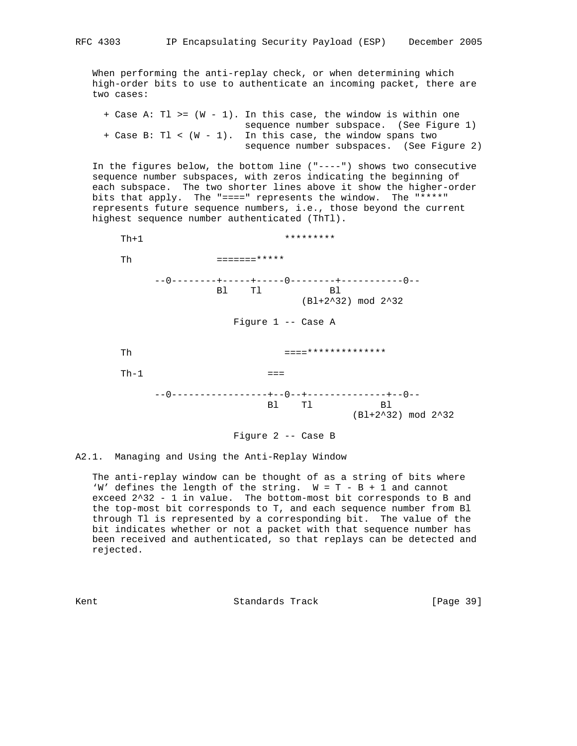When performing the anti-replay check, or when determining which high-order bits to use to authenticate an incoming packet, there are two cases:

 + Case A: Tl >= (W - 1). In this case, the window is within one sequence number subspace. (See Figure 1) + Case B: Tl < (W - 1). In this case, the window spans two sequence number subspaces. (See Figure 2)

 In the figures below, the bottom line ("----") shows two consecutive sequence number subspaces, with zeros indicating the beginning of each subspace. The two shorter lines above it show the higher-order bits that apply. The "====" represents the window. The "\*\*\*\*" represents future sequence numbers, i.e., those beyond the current highest sequence number authenticated (ThTl).





A2.1. Managing and Using the Anti-Replay Window

 The anti-replay window can be thought of as a string of bits where 'W' defines the length of the string. W = T - B + 1 and cannot exceed 2^32 - 1 in value. The bottom-most bit corresponds to B and the top-most bit corresponds to T, and each sequence number from Bl through Tl is represented by a corresponding bit. The value of the bit indicates whether or not a packet with that sequence number has been received and authenticated, so that replays can be detected and rejected.

Kent **Standards Track** [Page 39]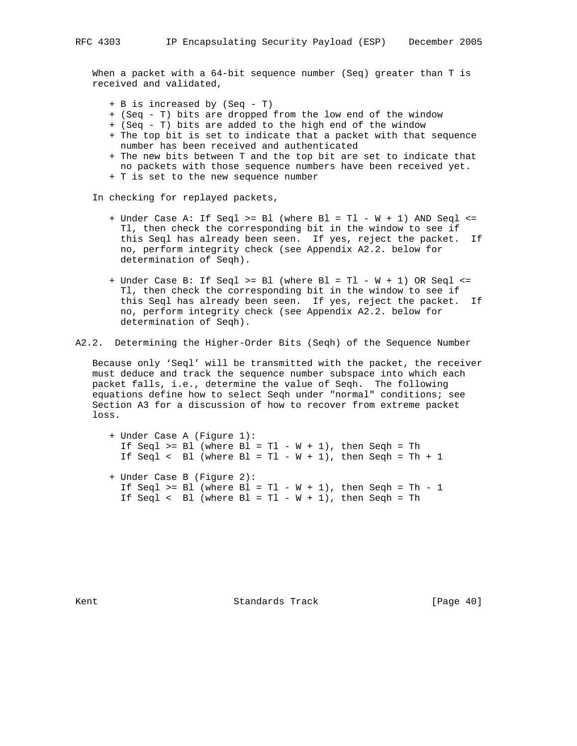When a packet with a 64-bit sequence number (Seq) greater than T is received and validated,

+ B is increased by (Seq - T)

- + (Seq T) bits are dropped from the low end of the window
- + (Seq T) bits are added to the high end of the window
- + The top bit is set to indicate that a packet with that sequence number has been received and authenticated
- + The new bits between T and the top bit are set to indicate that no packets with those sequence numbers have been received yet.
- + T is set to the new sequence number

In checking for replayed packets,

- + Under Case A: If Seql >= Bl (where Bl = Tl W + 1) AND Seql <= Tl, then check the corresponding bit in the window to see if this Seql has already been seen. If yes, reject the packet. If no, perform integrity check (see Appendix A2.2. below for determination of Seqh).
- + Under Case B: If Seql >= Bl (where Bl = Tl W + 1) OR Seql <= Tl, then check the corresponding bit in the window to see if this Seql has already been seen. If yes, reject the packet. If no, perform integrity check (see Appendix A2.2. below for determination of Seqh).

A2.2. Determining the Higher-Order Bits (Seqh) of the Sequence Number

 Because only 'Seql' will be transmitted with the packet, the receiver must deduce and track the sequence number subspace into which each packet falls, i.e., determine the value of Seqh. The following equations define how to select Seqh under "normal" conditions; see Section A3 for a discussion of how to recover from extreme packet loss.

 + Under Case A (Figure 1): If Seql  $>=$  Bl (where Bl = Tl - W + 1), then Seqh = Th If Seql < Bl (where  $B1 = T1 - W + 1$ ), then Seqh = Th + 1 + Under Case B (Figure 2): If Seql  $>=$  Bl (where Bl = Tl - W + 1), then Seqh = Th - 1 If Seql < Bl (where  $Bl = Tl - W + 1$ ), then Seqh = Th

Kent **Standards Track** [Page 40]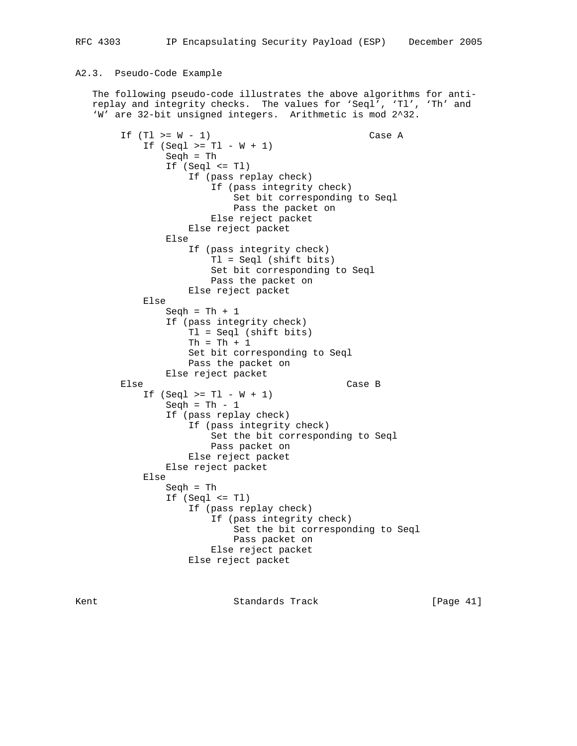### A2.3. Pseudo-Code Example

 The following pseudo-code illustrates the above algorithms for anti replay and integrity checks. The values for 'Seql', 'Tl', 'Th' and 'W' are 32-bit unsigned integers. Arithmetic is mod 2^32.

If  $(Tl > = W - 1)$  Case A If  $(Seql > = Tl - W + 1)$  Seqh = Th If (Seql <= Tl) If (pass replay check) If (pass integrity check) Set bit corresponding to Seql Pass the packet on Else reject packet Else reject packet Else If (pass integrity check) Tl = Seql (shift bits) Set bit corresponding to Seql Pass the packet on Else reject packet Else Seqh =  $Th + 1$  If (pass integrity check) Tl = Seql (shift bits)  $Th = Th + 1$  Set bit corresponding to Seql Pass the packet on Else reject packet<br>Else Case B If  $(Seql > = Tl - W + 1)$ Seqh = Th  $-1$  If (pass replay check) If (pass integrity check) Set the bit corresponding to Seql Pass packet on Else reject packet Else reject packet Else Seqh = Th If (Seql <= Tl) If (pass replay check) If (pass integrity check) Set the bit corresponding to Seql Pass packet on Else reject packet Else reject packet

Kent **Standards Track** [Page 41]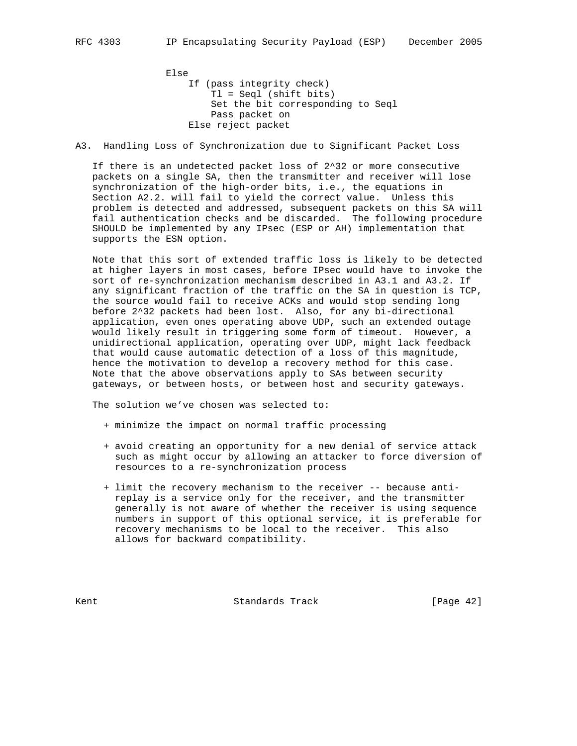Else If (pass integrity check) Tl = Seql (shift bits) Set the bit corresponding to Seql Pass packet on Else reject packet

A3. Handling Loss of Synchronization due to Significant Packet Loss

 If there is an undetected packet loss of 2^32 or more consecutive packets on a single SA, then the transmitter and receiver will lose synchronization of the high-order bits, i.e., the equations in Section A2.2. will fail to yield the correct value. Unless this problem is detected and addressed, subsequent packets on this SA will fail authentication checks and be discarded. The following procedure SHOULD be implemented by any IPsec (ESP or AH) implementation that supports the ESN option.

 Note that this sort of extended traffic loss is likely to be detected at higher layers in most cases, before IPsec would have to invoke the sort of re-synchronization mechanism described in A3.1 and A3.2. If any significant fraction of the traffic on the SA in question is TCP, the source would fail to receive ACKs and would stop sending long before 2^32 packets had been lost. Also, for any bi-directional application, even ones operating above UDP, such an extended outage would likely result in triggering some form of timeout. However, a unidirectional application, operating over UDP, might lack feedback that would cause automatic detection of a loss of this magnitude, hence the motivation to develop a recovery method for this case. Note that the above observations apply to SAs between security gateways, or between hosts, or between host and security gateways.

The solution we've chosen was selected to:

- + minimize the impact on normal traffic processing
- + avoid creating an opportunity for a new denial of service attack such as might occur by allowing an attacker to force diversion of resources to a re-synchronization process
- + limit the recovery mechanism to the receiver -- because anti replay is a service only for the receiver, and the transmitter generally is not aware of whether the receiver is using sequence numbers in support of this optional service, it is preferable for recovery mechanisms to be local to the receiver. This also allows for backward compatibility.

Kent **Standards Track** [Page 42]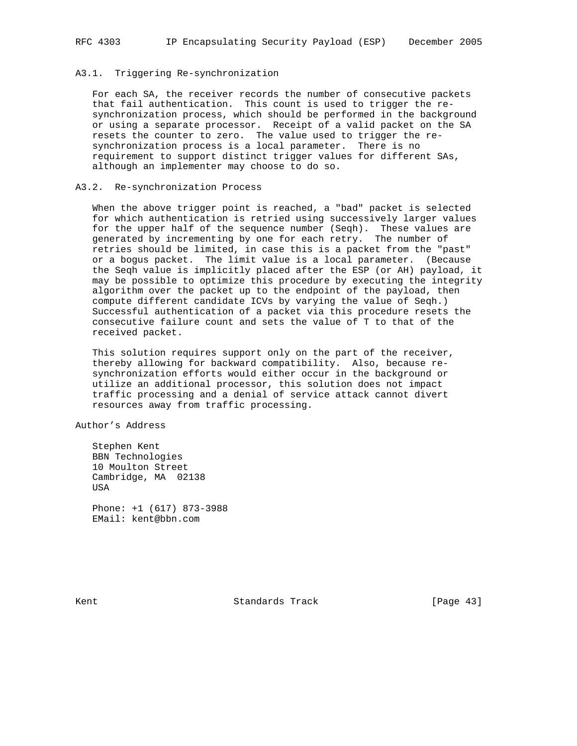#### A3.1. Triggering Re-synchronization

 For each SA, the receiver records the number of consecutive packets that fail authentication. This count is used to trigger the re synchronization process, which should be performed in the background or using a separate processor. Receipt of a valid packet on the SA resets the counter to zero. The value used to trigger the re synchronization process is a local parameter. There is no requirement to support distinct trigger values for different SAs, although an implementer may choose to do so.

#### A3.2. Re-synchronization Process

 When the above trigger point is reached, a "bad" packet is selected for which authentication is retried using successively larger values for the upper half of the sequence number (Seqh). These values are generated by incrementing by one for each retry. The number of retries should be limited, in case this is a packet from the "past" or a bogus packet. The limit value is a local parameter. (Because the Seqh value is implicitly placed after the ESP (or AH) payload, it may be possible to optimize this procedure by executing the integrity algorithm over the packet up to the endpoint of the payload, then compute different candidate ICVs by varying the value of Seqh.) Successful authentication of a packet via this procedure resets the consecutive failure count and sets the value of T to that of the received packet.

 This solution requires support only on the part of the receiver, thereby allowing for backward compatibility. Also, because re synchronization efforts would either occur in the background or utilize an additional processor, this solution does not impact traffic processing and a denial of service attack cannot divert resources away from traffic processing.

Author's Address

 Stephen Kent BBN Technologies 10 Moulton Street Cambridge, MA 02138 USA Phone: +1 (617) 873-3988

EMail: kent@bbn.com

Kent **Standards Track** [Page 43]